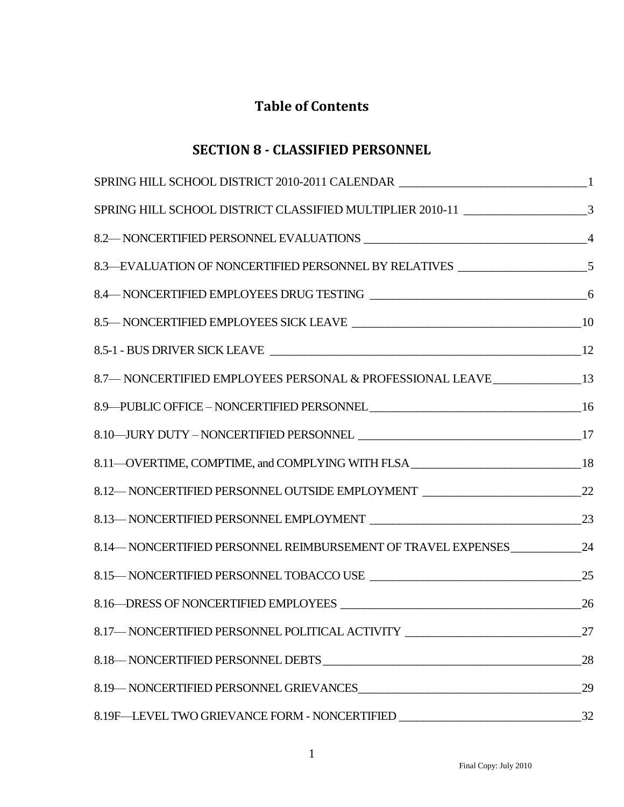## **Table of Contents**

## **SECTION 8 - CLASSIFIED PERSONNEL**

| ${\bf SPRING\,HILL\,SCHOOL\,DISTRICT\,2010\text{-}2011\,CALENDAR\,\_\_\_\_\_\_\_$       |    |
|-----------------------------------------------------------------------------------------|----|
| SPRING HILL SCHOOL DISTRICT CLASSIFIED MULTIPLIER 2010-11 ______________________3       |    |
|                                                                                         |    |
| 8.3—EVALUATION OF NONCERTIFIED PERSONNEL BY RELATIVES ___________________________5      |    |
|                                                                                         |    |
|                                                                                         |    |
|                                                                                         |    |
| 8.7 - NONCERTIFIED EMPLOYEES PERSONAL & PROFESSIONAL LEAVE ________________13           |    |
|                                                                                         |    |
|                                                                                         |    |
| 8.11—OVERTIME, COMPTIME, and COMPLYING WITH FLSA _______________________________18      |    |
| 8.12—NONCERTIFIED PERSONNEL OUTSIDE EMPLOYMENT __________________________________22     |    |
|                                                                                         |    |
| 8.14 NONCERTIFIED PERSONNEL REIMBURSEMENT OF TRAVEL EXPENSES ___________________24      |    |
|                                                                                         |    |
|                                                                                         |    |
| 8.17—NONCERTIFIED PERSONNEL POLITICAL ACTIVITY                                          | 27 |
|                                                                                         | 28 |
| 8.19 NONCERTIFIED PERSONNEL GRIEVANCES CONSERVERS AND MONCERTIFIED PERSONNEL GRIEVANCES | 29 |
| 8.19F-LEVEL TWO GRIEVANCE FORM - NONCERTIFIED __________________________________        | 32 |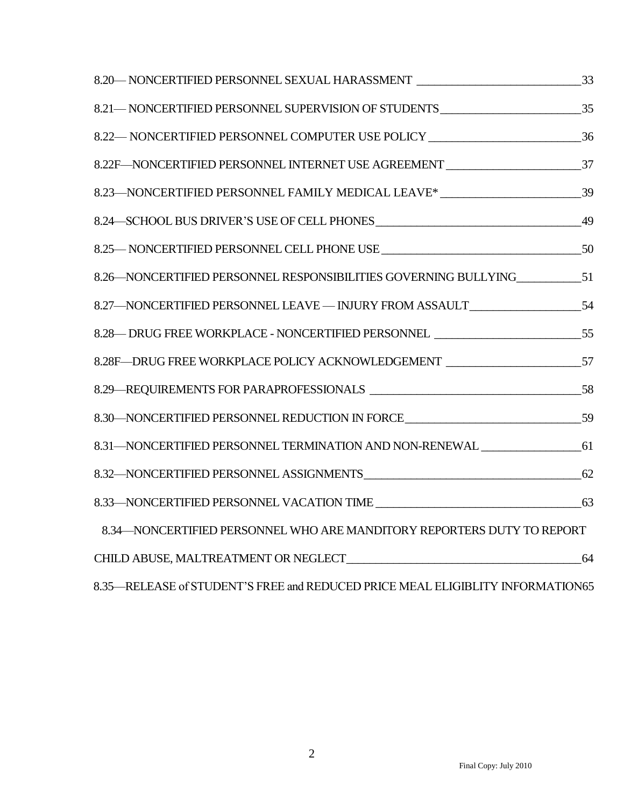| 8.20 NONCERTIFIED PERSONNEL SEXUAL HARASSMENT __________________________________33  |  |
|-------------------------------------------------------------------------------------|--|
| 8.21 — NONCERTIFIED PERSONNEL SUPERVISION OF STUDENTS ___________________________35 |  |
| 8.22—NONCERTIFIED PERSONNEL COMPUTER USE POLICY ________________________________36  |  |
| 8.22F-NONCERTIFIED PERSONNEL INTERNET USE AGREEMENT ____________________________37  |  |
| 8.23-NONCERTIFIED PERSONNEL FAMILY MEDICAL LEAVE* _______________________________39 |  |
|                                                                                     |  |
|                                                                                     |  |
| 8.26—NONCERTIFIED PERSONNEL RESPONSIBILITIES GOVERNING BULLYING_____________51      |  |
| 8.27-NONCERTIFIED PERSONNEL LEAVE - INJURY FROM ASSAULT ______________________54    |  |
| 8.28— DRUG FREE WORKPLACE - NONCERTIFIED PERSONNEL _____________________________55  |  |
| 8.28F—DRUG FREE WORKPLACE POLICY ACKNOWLEDGEMENT _______________________________57  |  |
|                                                                                     |  |
| 8.30—NONCERTIFIED PERSONNEL REDUCTION IN FORCE__________________________________59  |  |
| 8.31-NONCERTIFIED PERSONNEL TERMINATION AND NON-RENEWAL ________________________61  |  |
|                                                                                     |  |
|                                                                                     |  |
| 8.34-NONCERTIFIED PERSONNEL WHO ARE MANDITORY REPORTERS DUTY TO REPORT              |  |
|                                                                                     |  |
| 8.35 RELEASE of STUDENT'S FREE and REDUCED PRICE MEAL ELIGIBLITY INFORMATION65      |  |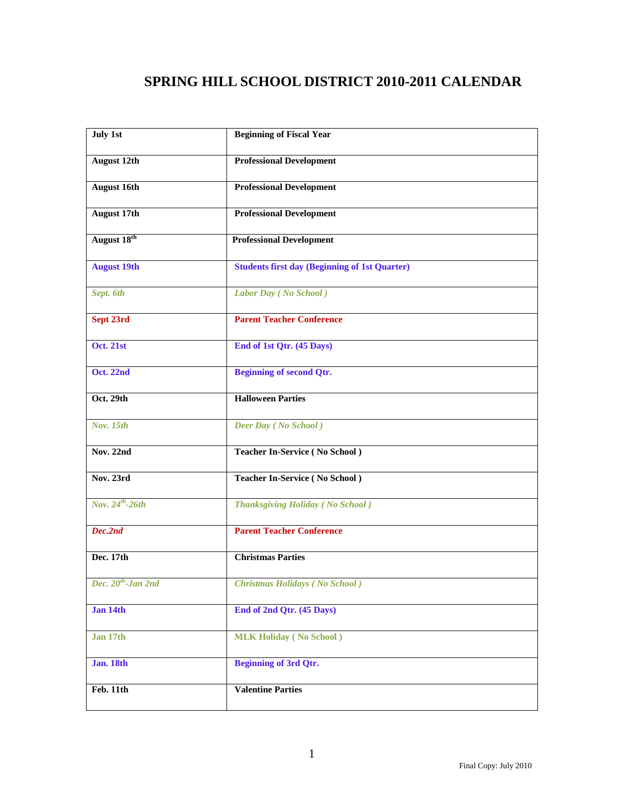# **SPRING HILL SCHOOL DISTRICT 2010-2011 CALENDAR**

<span id="page-2-0"></span>

| July 1st                | <b>Beginning of Fiscal Year</b>                      |
|-------------------------|------------------------------------------------------|
| <b>August 12th</b>      | <b>Professional Development</b>                      |
| <b>August 16th</b>      | <b>Professional Development</b>                      |
| <b>August 17th</b>      | <b>Professional Development</b>                      |
| August 18th             | <b>Professional Development</b>                      |
| <b>August 19th</b>      | <b>Students first day (Beginning of 1st Quarter)</b> |
| Sept. 6th               | Labor Day (No School)                                |
| Sept 23rd               | <b>Parent Teacher Conference</b>                     |
| <b>Oct. 21st</b>        | End of 1st Qtr. (45 Days)                            |
| Oct. 22nd               | <b>Beginning of second Qtr.</b>                      |
| Oct. 29th               | <b>Halloween Parties</b>                             |
| Nov. 15th               | <b>Deer Day</b> (No School)                          |
| <b>Nov. 22nd</b>        | <b>Teacher In-Service (No School)</b>                |
| Nov. 23rd               | <b>Teacher In-Service (No School)</b>                |
| Nov. $24^{th}$ -26th    | <b>Thanksgiving Holiday (No School)</b>              |
| Dec.2nd                 | <b>Parent Teacher Conference</b>                     |
| Dec. 17th               | <b>Christmas Parties</b>                             |
| Dec. $20^{th}$ -Jan 2nd | <b>Christmas Holidays (No School)</b>                |
| Jan 14th                | End of 2nd Qtr. (45 Days)                            |
| Jan 17th                | <b>MLK Holiday</b> (No School)                       |
| <b>Jan. 18th</b>        | <b>Beginning of 3rd Qtr.</b>                         |
| Feb. 11th               | <b>Valentine Parties</b>                             |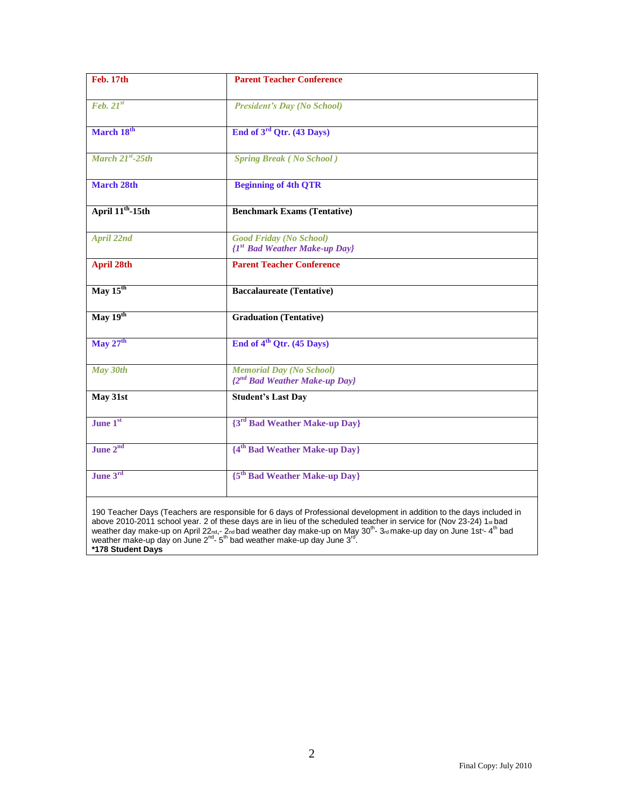| Feb. 17th                              | <b>Parent Teacher Conference</b>                                                                                                                                                                                                                                                                                                                                                          |
|----------------------------------------|-------------------------------------------------------------------------------------------------------------------------------------------------------------------------------------------------------------------------------------------------------------------------------------------------------------------------------------------------------------------------------------------|
| $\overline{Feb. 21^{st}}$              | <b>President's Day (No School)</b>                                                                                                                                                                                                                                                                                                                                                        |
| March 18th                             | End of 3 <sup>rd</sup> Qtr. (43 Days)                                                                                                                                                                                                                                                                                                                                                     |
| March $21^{st}$ -25th                  | <b>Spring Break (No School)</b>                                                                                                                                                                                                                                                                                                                                                           |
| <b>March 28th</b>                      | <b>Beginning of 4th QTR</b>                                                                                                                                                                                                                                                                                                                                                               |
| April 11 <sup>th</sup> -15th           | <b>Benchmark Exams (Tentative)</b>                                                                                                                                                                                                                                                                                                                                                        |
| <b>April 22nd</b>                      | <b>Good Friday (No School)</b><br>$\{I^{st}$ Bad Weather Make-up Day}                                                                                                                                                                                                                                                                                                                     |
| <b>April 28th</b>                      | <b>Parent Teacher Conference</b>                                                                                                                                                                                                                                                                                                                                                          |
| May $15th$                             | <b>Baccalaureate (Tentative)</b>                                                                                                                                                                                                                                                                                                                                                          |
| $\overline{\text{May }19^{\text{th}}}$ | <b>Graduation (Tentative)</b>                                                                                                                                                                                                                                                                                                                                                             |
| May 27 <sup>th</sup>                   | End of 4 <sup>th</sup> Qtr. (45 Days)                                                                                                                                                                                                                                                                                                                                                     |
| May 30th                               | <b>Memorial Day (No School)</b><br><sup>{2nd</sup> Bad Weather Make-up Day}                                                                                                                                                                                                                                                                                                               |
| May 31st                               | <b>Student's Last Day</b>                                                                                                                                                                                                                                                                                                                                                                 |
| June 1st                               | {3 <sup>rd</sup> Bad Weather Make-up Day}                                                                                                                                                                                                                                                                                                                                                 |
| June 2 <sup>nd</sup>                   | {4 <sup>th</sup> Bad Weather Make-up Day}                                                                                                                                                                                                                                                                                                                                                 |
| June 3rd                               | {5 <sup>th</sup> Bad Weather Make-up Day}                                                                                                                                                                                                                                                                                                                                                 |
|                                        | 190 Teacher Days (Teachers are responsible for 6 days of Professional development in addition to the days included in<br>above 2010-2011 school year. 2 of these days are in lieu of the scheduled teacher in service for (Nov 23-24) 1st bad<br>weather day make-up on April 22nd,- 2nd bad weather day make-up on May 30 <sup>th</sup> -3rd make-up day on June 1st <sup>-4th</sup> bad |

weather make-up day on June 2<sup>nd</sup>-5<sup>th</sup> bad weather make-up day June 3<sup>rd</sup>. **\*178 Student Days**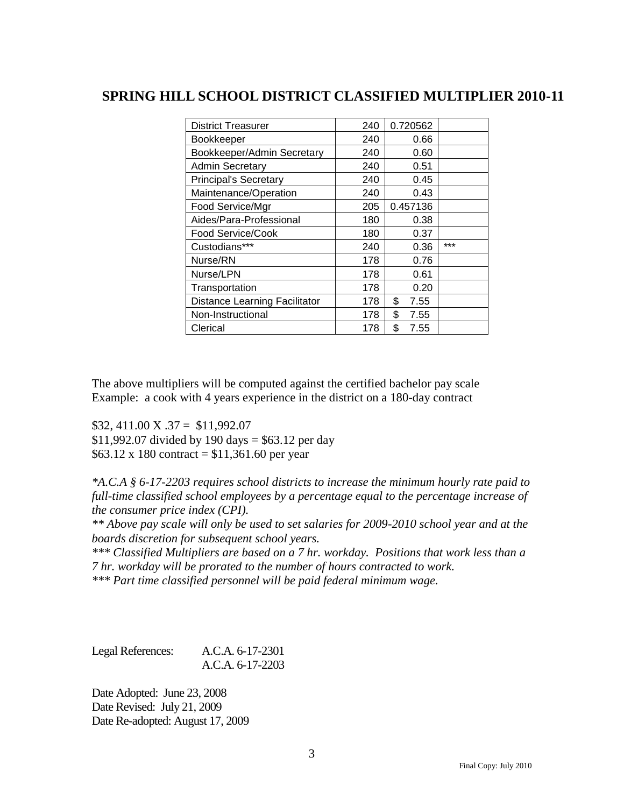### <span id="page-4-0"></span>**SPRING HILL SCHOOL DISTRICT CLASSIFIED MULTIPLIER 2010-11**

| <b>District Treasurer</b>            | 240 | 0.720562   |     |
|--------------------------------------|-----|------------|-----|
| <b>Bookkeeper</b>                    | 240 | 0.66       |     |
| Bookkeeper/Admin Secretary           | 240 | 0.60       |     |
| <b>Admin Secretary</b>               | 240 | 0.51       |     |
| <b>Principal's Secretary</b>         | 240 | 0.45       |     |
| Maintenance/Operation                | 240 | 0.43       |     |
| Food Service/Mgr                     | 205 | 0.457136   |     |
| Aides/Para-Professional              | 180 | 0.38       |     |
| Food Service/Cook                    | 180 | 0.37       |     |
| Custodians***                        | 240 | 0.36       | *** |
| Nurse/RN                             | 178 | 0.76       |     |
| Nurse/LPN                            | 178 | 0.61       |     |
| Transportation                       | 178 | 0.20       |     |
| <b>Distance Learning Facilitator</b> | 178 | \$<br>7.55 |     |
| Non-Instructional                    | 178 | \$<br>7.55 |     |
| Clerical                             | 178 | \$<br>7.55 |     |

The above multipliers will be computed against the certified bachelor pay scale Example: a cook with 4 years experience in the district on a 180-day contract

 $$32,411.00 \text{ X}.37 = $11,992.07$ \$11,992.07 divided by 190 days =  $$63.12$  per day  $$63.12 \times 180$  contract = \$11,361.60 per year

*\*A.C.A § 6-17-2203 requires school districts to increase the minimum hourly rate paid to full-time classified school employees by a percentage equal to the percentage increase of the consumer price index (CPI).*

*\*\* Above pay scale will only be used to set salaries for 2009-2010 school year and at the boards discretion for subsequent school years.* 

*\*\*\* Classified Multipliers are based on a 7 hr. workday. Positions that work less than a 7 hr. workday will be prorated to the number of hours contracted to work.*

*\*\*\* Part time classified personnel will be paid federal minimum wage.*

Legal References: A.C.A. 6-17-2301 A.C.A. 6-17-2203

Date Adopted: June 23, 2008 Date Revised: July 21, 2009 Date Re-adopted: August 17, 2009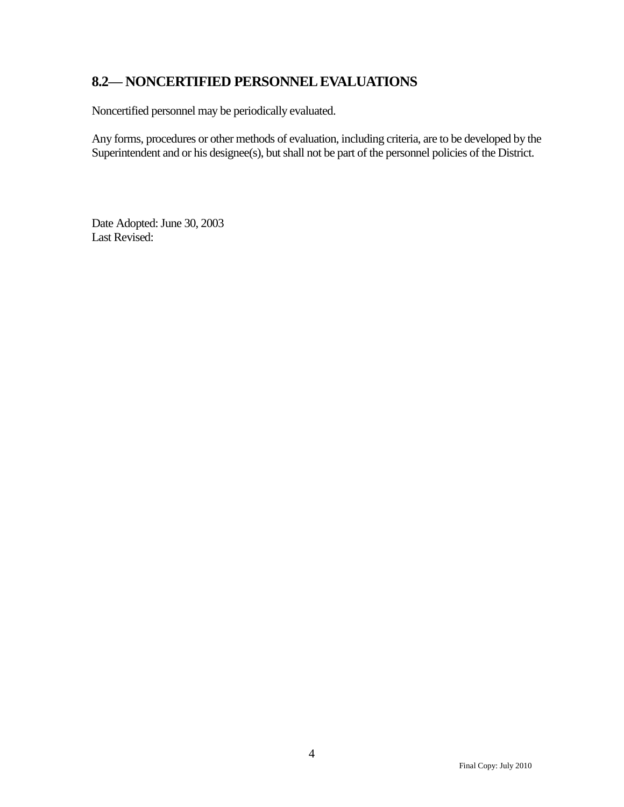## <span id="page-5-0"></span>**8.2— NONCERTIFIED PERSONNEL EVALUATIONS**

Noncertified personnel may be periodically evaluated.

Any forms, procedures or other methods of evaluation, including criteria, are to be developed by the Superintendent and or his designee(s), but shall not be part of the personnel policies of the District.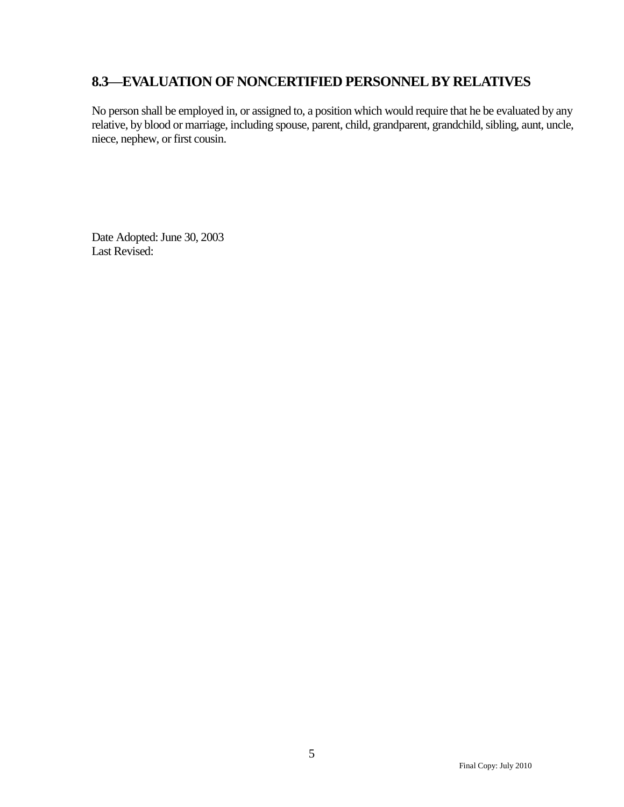### <span id="page-6-0"></span>**8.3—EVALUATION OF NONCERTIFIED PERSONNEL BY RELATIVES**

No person shall be employed in, or assigned to, a position which would require that he be evaluated by any relative, by blood or marriage, including spouse, parent, child, grandparent, grandchild, sibling, aunt, uncle, niece, nephew, or first cousin.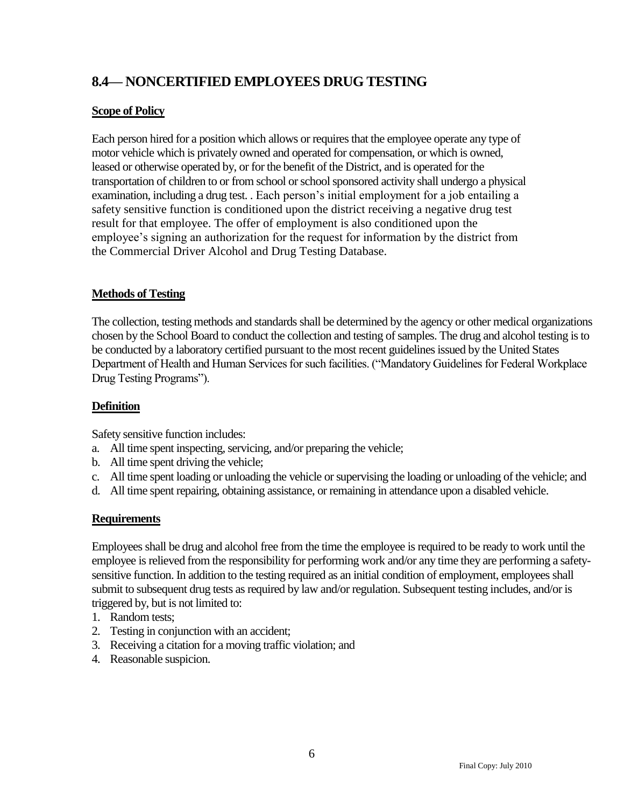## <span id="page-7-0"></span>**8.4— NONCERTIFIED EMPLOYEES DRUG TESTING**

### **Scope of Policy**

Each person hired for a position which allows or requires that the employee operate any type of motor vehicle which is privately owned and operated for compensation, or which is owned, leased or otherwise operated by, or for the benefit of the District, and is operated for the transportation of children to or from school or school sponsored activity shall undergo a physical examination, including a drug test. . Each person's initial employment for a job entailing a safety sensitive function is conditioned upon the district receiving a negative drug test result for that employee. The offer of employment is also conditioned upon the employee's signing an authorization for the request for information by the district from the Commercial Driver Alcohol and Drug Testing Database.

### **Methods of Testing**

The collection, testing methods and standards shall be determined by the agency or other medical organizations chosen by the School Board to conduct the collection and testing of samples. The drug and alcohol testing is to be conducted by a laboratory certified pursuant to the most recent guidelines issued by the United States Department of Health and Human Services for such facilities. ("Mandatory Guidelines for Federal Workplace Drug Testing Programs").

### **Definition**

Safety sensitive function includes:

- a. All time spent inspecting, servicing, and/or preparing the vehicle;
- b. All time spent driving the vehicle;
- c. All time spent loading or unloading the vehicle or supervising the loading or unloading of the vehicle; and
- d. All time spent repairing, obtaining assistance, or remaining in attendance upon a disabled vehicle.

### **Requirements**

Employees shall be drug and alcohol free from the time the employee is required to be ready to work until the employee is relieved from the responsibility for performing work and/or any time they are performing a safetysensitive function. In addition to the testing required as an initial condition of employment, employees shall submit to subsequent drug tests as required by law and/or regulation. Subsequent testing includes, and/or is triggered by, but is not limited to:

- 1. Random tests;
- 2. Testing in conjunction with an accident;
- 3. Receiving a citation for a moving traffic violation; and
- 4. Reasonable suspicion.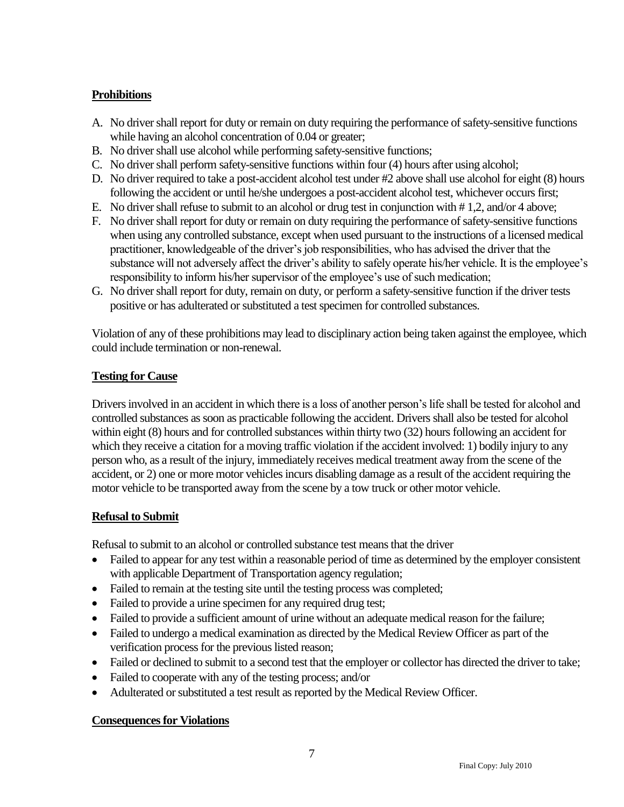### **Prohibitions**

- A. No driver shall report for duty or remain on duty requiring the performance of safety-sensitive functions while having an alcohol concentration of 0.04 or greater;
- B. No driver shall use alcohol while performing safety-sensitive functions;
- C. No driver shall perform safety-sensitive functions within four (4) hours after using alcohol;
- D. No driver required to take a post-accident alcohol test under #2 above shall use alcohol for eight (8) hours following the accident or until he/she undergoes a post-accident alcohol test, whichever occurs first;
- E. No driver shall refuse to submit to an alcohol or drug test in conjunction with # 1,2, and/or 4 above;
- F. No driver shall report for duty or remain on duty requiring the performance of safety-sensitive functions when using any controlled substance, except when used pursuant to the instructions of a licensed medical practitioner, knowledgeable of the driver's job responsibilities, who has advised the driver that the substance will not adversely affect the driver's ability to safely operate his/her vehicle. It is the employee's responsibility to inform his/her supervisor of the employee's use of such medication;
- G. No driver shall report for duty, remain on duty, or perform a safety-sensitive function if the driver tests positive or has adulterated or substituted a test specimen for controlled substances.

Violation of any of these prohibitions may lead to disciplinary action being taken against the employee, which could include termination or non-renewal.

### **Testing for Cause**

Drivers involved in an accident in which there is a loss of another person's life shall be tested for alcohol and controlled substances as soon as practicable following the accident. Drivers shall also be tested for alcohol within eight (8) hours and for controlled substances within thirty two (32) hours following an accident for which they receive a citation for a moving traffic violation if the accident involved: 1) bodily injury to any person who, as a result of the injury, immediately receives medical treatment away from the scene of the accident, or 2) one or more motor vehicles incurs disabling damage as a result of the accident requiring the motor vehicle to be transported away from the scene by a tow truck or other motor vehicle.

### **Refusal to Submit**

Refusal to submit to an alcohol or controlled substance test means that the driver

- Failed to appear for any test within a reasonable period of time as determined by the employer consistent with applicable Department of Transportation agency regulation;
- Failed to remain at the testing site until the testing process was completed;
- Failed to provide a urine specimen for any required drug test;
- Failed to provide a sufficient amount of urine without an adequate medical reason for the failure;
- Failed to undergo a medical examination as directed by the Medical Review Officer as part of the verification process for the previous listed reason;
- Failed or declined to submit to a second test that the employer or collector has directed the driver to take;
- Failed to cooperate with any of the testing process; and/or
- Adulterated or substituted a test result as reported by the Medical Review Officer.

### **Consequences for Violations**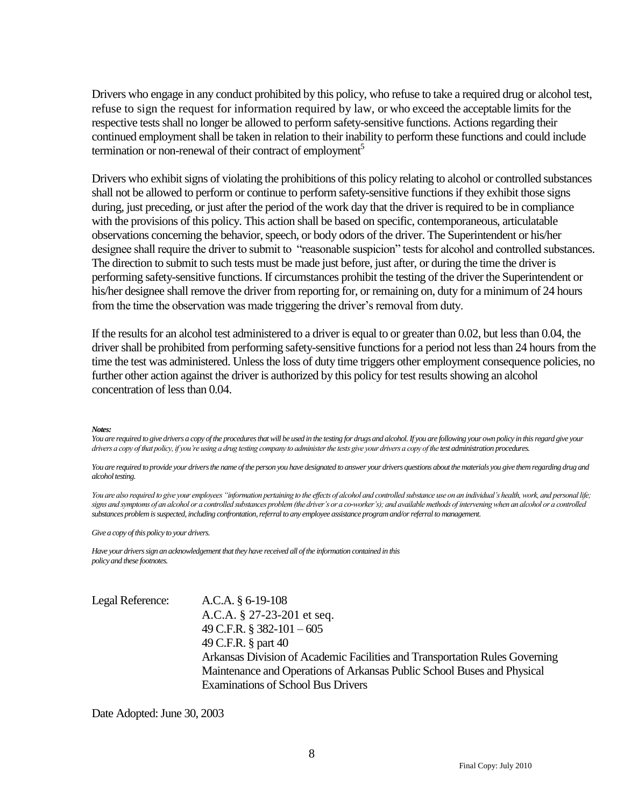Drivers who engage in any conduct prohibited by this policy, who refuse to take a required drug or alcohol test, refuse to sign the request for information required by law, or who exceed the acceptable limits for the respective tests shall no longer be allowed to perform safety-sensitive functions. Actions regarding their continued employment shall be taken in relation to their inability to perform these functions and could include termination or non-renewal of their contract of employment<sup>5</sup>

Drivers who exhibit signs of violating the prohibitions of this policy relating to alcohol or controlled substances shall not be allowed to perform or continue to perform safety-sensitive functions if they exhibit those signs during, just preceding, or just after the period of the work day that the driver is required to be in compliance with the provisions of this policy. This action shall be based on specific, contemporaneous, articulatable observations concerning the behavior, speech, or body odors of the driver. The Superintendent or his/her designee shall require the driver to submit to "reasonable suspicion" tests for alcohol and controlled substances. The direction to submit to such tests must be made just before, just after, or during the time the driver is performing safety-sensitive functions. If circumstances prohibit the testing of the driver the Superintendent or his/her designee shall remove the driver from reporting for, or remaining on, duty for a minimum of 24 hours from the time the observation was made triggering the driver's removal from duty.

If the results for an alcohol test administered to a driver is equal to or greater than 0.02, but less than 0.04, the driver shall be prohibited from performing safety-sensitive functions for a period not less than 24 hours from the time the test was administered. Unless the loss of duty time triggers other employment consequence policies, no further other action against the driver is authorized by this policy for test results showing an alcohol concentration of less than 0.04.

#### *Notes:*

*You are required to give drivers a copy of the procedures that will be used in the testing for drugs and alcohol. If you are following your own policy in this regard give your drivers a copy of that policy, if you're using a drug testing company to administer the tests give your drivers a copy of the test administration procedures.*

*You are required to provide your drivers the name of the person you have designated to answer your drivers questions about the materials you give them regarding drug and alcohol testing.*

*You are also required to give your employees "information pertaining to the effects of alcohol and controlled substance use on an individual's health, work, and personal life; signs and symptoms of an alcohol or a controlled substances problem (the driver's or a co-worker's); and available methods of intervening when an alcohol or a controlled substances problem is suspected, including confrontation, referral to any employee assistance program and/or referral to management.*

*Give a copy of this policy to your drivers.*

*Have your drivers sign an acknowledgement that they have received all of the information contained in this policy and these footnotes.*

Legal Reference: A.C.A. § 6-19-108 A.C.A. § 27-23-201 et seq. 49 C.F.R. § 382-101 – 605 49 C.F.R. § part 40 Arkansas Division of Academic Facilities and Transportation Rules Governing Maintenance and Operations of Arkansas Public School Buses and Physical Examinations of School Bus Drivers

Date Adopted: June 30, 2003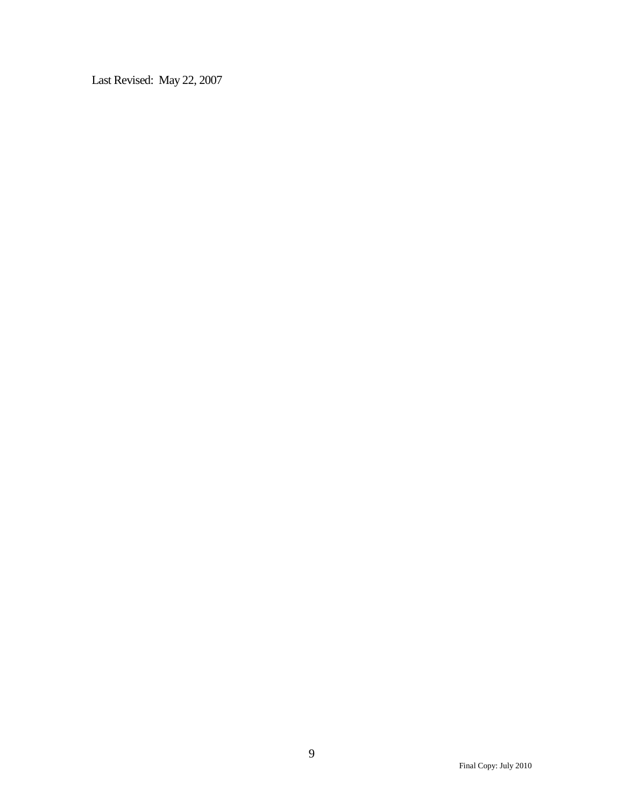Last Revised: May 22, 2007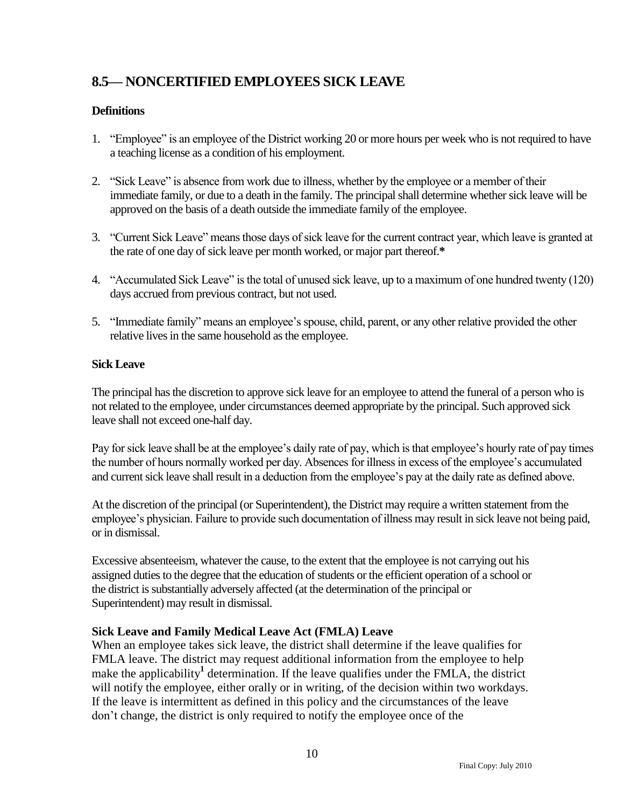## <span id="page-11-0"></span>**8.5— NONCERTIFIED EMPLOYEES SICK LEAVE**

### **Definitions**

- 1. "Employee" is an employee of the District working 20 or more hours per week who is not required to have a teaching license as a condition of his employment.
- 2. "Sick Leave" is absence from work due to illness, whether by the employee or a member of their immediate family, or due to a death in the family. The principal shall determine whether sick leave will be approved on the basis of a death outside the immediate family of the employee.
- 3. ―Current Sick Leave‖ means those days of sick leave for the current contract year, which leave is granted at the rate of one day of sick leave per month worked, or major part thereof.**\***
- 4. "Accumulated Sick Leave" is the total of unused sick leave, up to a maximum of one hundred twenty (120) days accrued from previous contract, but not used.
- 5. "Immediate family" means an employee's spouse, child, parent, or any other relative provided the other relative lives in the same household as the employee.

#### **Sick Leave**

The principal has the discretion to approve sick leave for an employee to attend the funeral of a person who is not related to the employee, under circumstances deemed appropriate by the principal. Such approved sick leave shall not exceed one-half day.

Pay for sick leave shall be at the employee's daily rate of pay, which is that employee's hourly rate of pay times the number of hours normally worked per day. Absences for illness in excess of the employee's accumulated and current sick leave shall result in a deduction from the employee's pay at the daily rate as defined above.

At the discretion of the principal (or Superintendent), the District may require a written statement from the employee's physician. Failure to provide such documentation of illness may result in sick leave not being paid, or in dismissal.

Excessive absenteeism, whatever the cause, to the extent that the employee is not carrying out his assigned duties to the degree that the education of students or the efficient operation of a school or the district is substantially adversely affected (at the determination of the principal or Superintendent) may result in dismissal.

### **Sick Leave and Family Medical Leave Act (FMLA) Leave**

When an employee takes sick leave, the district shall determine if the leave qualifies for FMLA leave. The district may request additional information from the employee to help make the applicability<sup>1</sup> determination. If the leave qualifies under the FMLA, the district will notify the employee, either orally or in writing, of the decision within two workdays. If the leave is intermittent as defined in this policy and the circumstances of the leave don't change, the district is only required to notify the employee once of the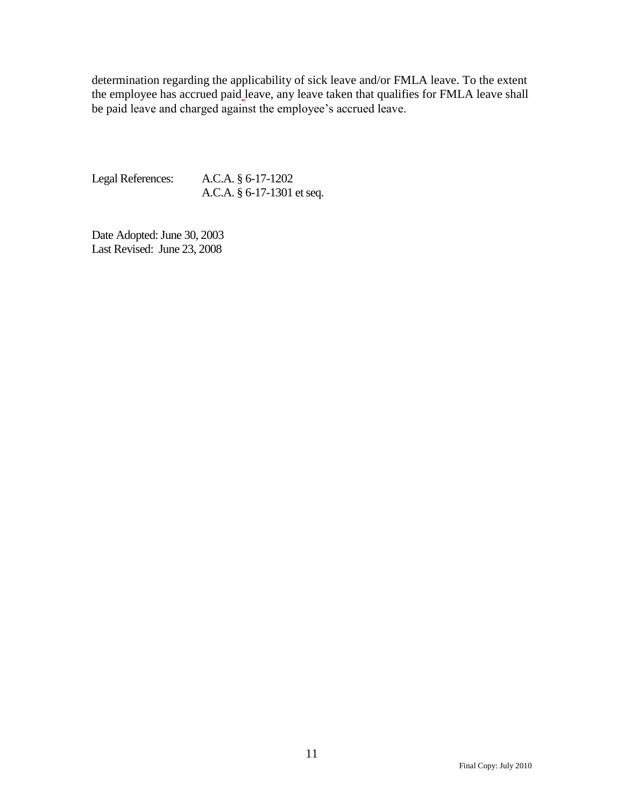determination regarding the applicability of sick leave and/or FMLA leave. To the extent the employee has accrued paid leave, any leave taken that qualifies for FMLA leave shall be paid leave and charged against the employee's accrued leave.

Legal References: A.C.A. § 6-17-1202 A.C.A. § 6-17-1301 et seq.

Date Adopted: June 30, 2003 Last Revised: June 23, 2008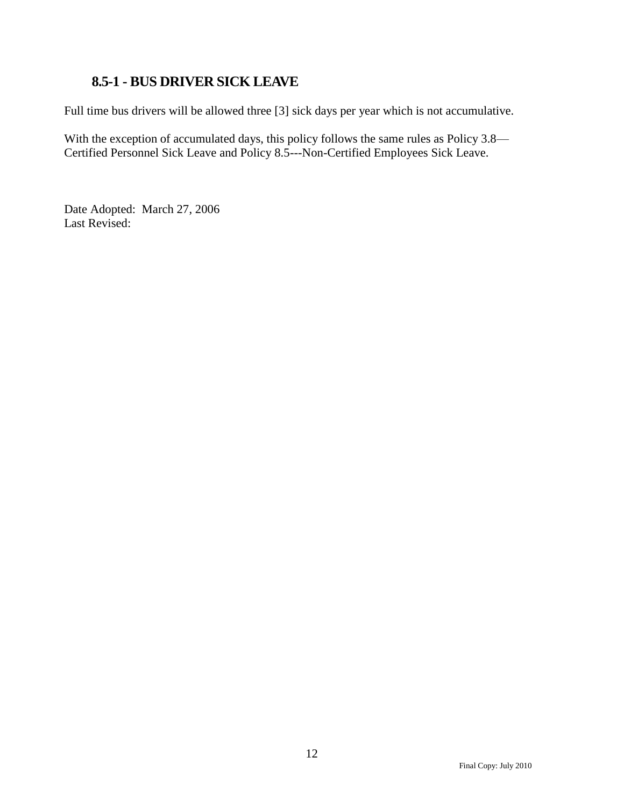### <span id="page-13-0"></span>**8.5-1 - BUS DRIVER SICK LEAVE**

Full time bus drivers will be allowed three [3] sick days per year which is not accumulative.

 With the exception of accumulated days, this policy follows the same rules as Policy 3.8— Certified Personnel Sick Leave and Policy 8.5---Non-Certified Employees Sick Leave.

Date Adopted: March 27, 2006 Last Revised: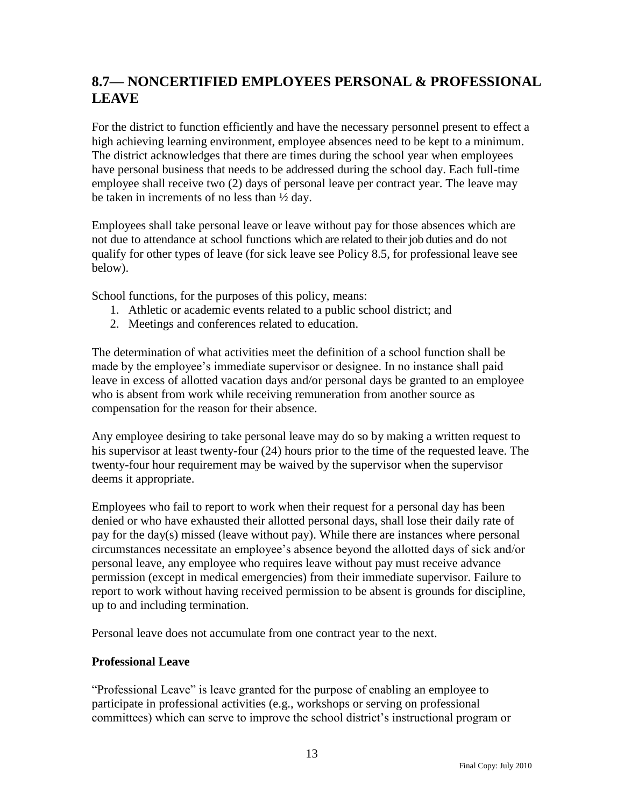## <span id="page-14-0"></span>**8.7— NONCERTIFIED EMPLOYEES PERSONAL & PROFESSIONAL LEAVE**

For the district to function efficiently and have the necessary personnel present to effect a high achieving learning environment, employee absences need to be kept to a minimum. The district acknowledges that there are times during the school year when employees have personal business that needs to be addressed during the school day. Each full-time employee shall receive two (2) days of personal leave per contract year. The leave may be taken in increments of no less than ½ day.

Employees shall take personal leave or leave without pay for those absences which are not due to attendance at school functions which are related to their job duties and do not qualify for other types of leave (for sick leave see Policy 8.5, for professional leave see below).

School functions, for the purposes of this policy, means:

- 1. Athletic or academic events related to a public school district; and
- 2. Meetings and conferences related to education.

The determination of what activities meet the definition of a school function shall be made by the employee's immediate supervisor or designee. In no instance shall paid leave in excess of allotted vacation days and/or personal days be granted to an employee who is absent from work while receiving remuneration from another source as compensation for the reason for their absence.

Any employee desiring to take personal leave may do so by making a written request to his supervisor at least twenty-four (24) hours prior to the time of the requested leave. The twenty-four hour requirement may be waived by the supervisor when the supervisor deems it appropriate.

Employees who fail to report to work when their request for a personal day has been denied or who have exhausted their allotted personal days, shall lose their daily rate of pay for the day(s) missed (leave without pay). While there are instances where personal circumstances necessitate an employee's absence beyond the allotted days of sick and/or personal leave, any employee who requires leave without pay must receive advance permission (except in medical emergencies) from their immediate supervisor. Failure to report to work without having received permission to be absent is grounds for discipline, up to and including termination.

Personal leave does not accumulate from one contract year to the next.

#### **Professional Leave**

―Professional Leave‖ is leave granted for the purpose of enabling an employee to participate in professional activities (e.g., workshops or serving on professional committees) which can serve to improve the school district's instructional program or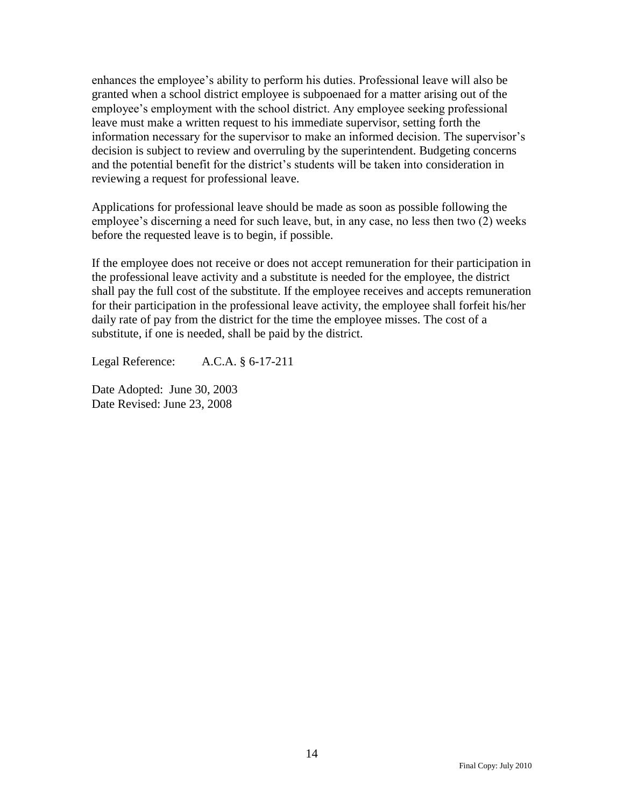enhances the employee's ability to perform his duties. Professional leave will also be granted when a school district employee is subpoenaed for a matter arising out of the employee's employment with the school district. Any employee seeking professional leave must make a written request to his immediate supervisor, setting forth the information necessary for the supervisor to make an informed decision. The supervisor's decision is subject to review and overruling by the superintendent. Budgeting concerns and the potential benefit for the district's students will be taken into consideration in reviewing a request for professional leave.

Applications for professional leave should be made as soon as possible following the employee's discerning a need for such leave, but, in any case, no less then two (2) weeks before the requested leave is to begin, if possible.

If the employee does not receive or does not accept remuneration for their participation in the professional leave activity and a substitute is needed for the employee, the district shall pay the full cost of the substitute. If the employee receives and accepts remuneration for their participation in the professional leave activity, the employee shall forfeit his/her daily rate of pay from the district for the time the employee misses. The cost of a substitute, if one is needed, shall be paid by the district.

Legal Reference: A.C.A. § 6-17-211

Date Adopted: June 30, 2003 Date Revised: June 23, 2008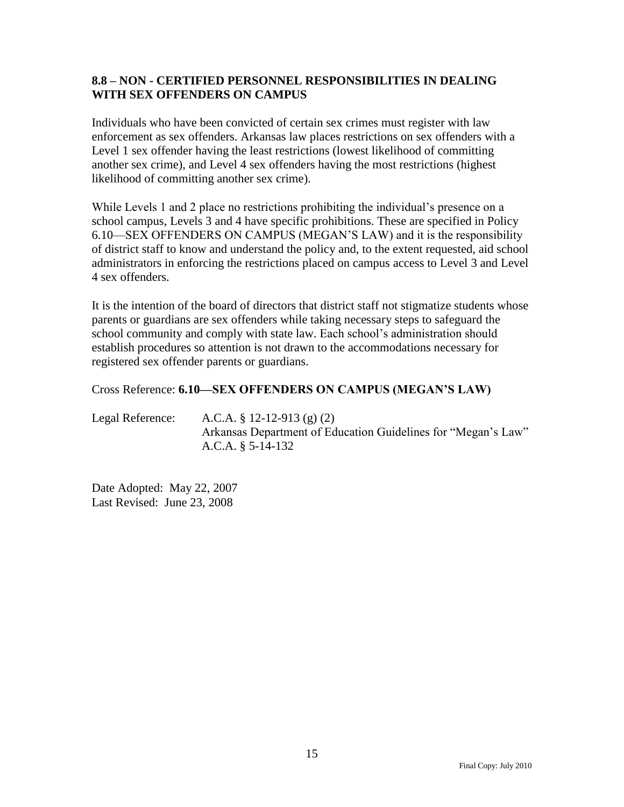#### **8.8 – NON - CERTIFIED PERSONNEL RESPONSIBILITIES IN DEALING WITH SEX OFFENDERS ON CAMPUS**

Individuals who have been convicted of certain sex crimes must register with law enforcement as sex offenders. Arkansas law places restrictions on sex offenders with a Level 1 sex offender having the least restrictions (lowest likelihood of committing another sex crime), and Level 4 sex offenders having the most restrictions (highest likelihood of committing another sex crime).

While Levels 1 and 2 place no restrictions prohibiting the individual's presence on a school campus, Levels 3 and 4 have specific prohibitions. These are specified in Policy 6.10—SEX OFFENDERS ON CAMPUS (MEGAN'S LAW) and it is the responsibility of district staff to know and understand the policy and, to the extent requested, aid school administrators in enforcing the restrictions placed on campus access to Level 3 and Level 4 sex offenders.

It is the intention of the board of directors that district staff not stigmatize students whose parents or guardians are sex offenders while taking necessary steps to safeguard the school community and comply with state law. Each school's administration should establish procedures so attention is not drawn to the accommodations necessary for registered sex offender parents or guardians.

#### Cross Reference: **6.10—SEX OFFENDERS ON CAMPUS (MEGAN'S LAW)**

Legal Reference: A.C.A. § 12-12-913 (g) (2) Arkansas Department of Education Guidelines for "Megan's Law" A.C.A. § 5-14-132

Date Adopted: May 22, 2007 Last Revised: June 23, 2008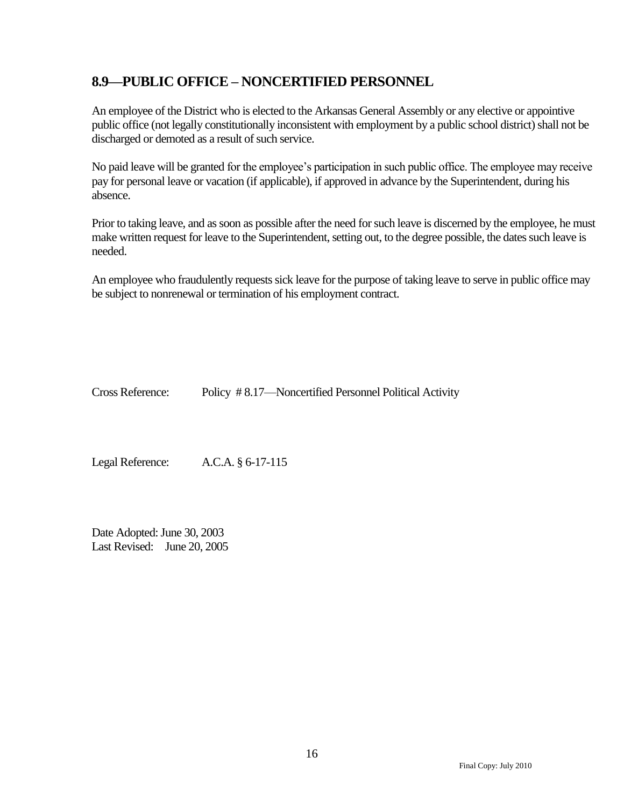### <span id="page-17-0"></span>**8.9—PUBLIC OFFICE – NONCERTIFIED PERSONNEL**

An employee of the District who is elected to the Arkansas General Assembly or any elective or appointive public office (not legally constitutionally inconsistent with employment by a public school district) shall not be discharged or demoted as a result of such service.

No paid leave will be granted for the employee's participation in such public office. The employee may receive pay for personal leave or vacation (if applicable), if approved in advance by the Superintendent, during his absence.

Prior to taking leave, and as soon as possible after the need for such leave is discerned by the employee, he must make written request for leave to the Superintendent, setting out, to the degree possible, the dates such leave is needed.

An employee who fraudulently requests sick leave for the purpose of taking leave to serve in public office may be subject to nonrenewal or termination of his employment contract.

Cross Reference: Policy # 8.17—Noncertified Personnel Political Activity

Legal Reference: A.C.A. § 6-17-115

Date Adopted: June 30, 2003 Last Revised: June 20, 2005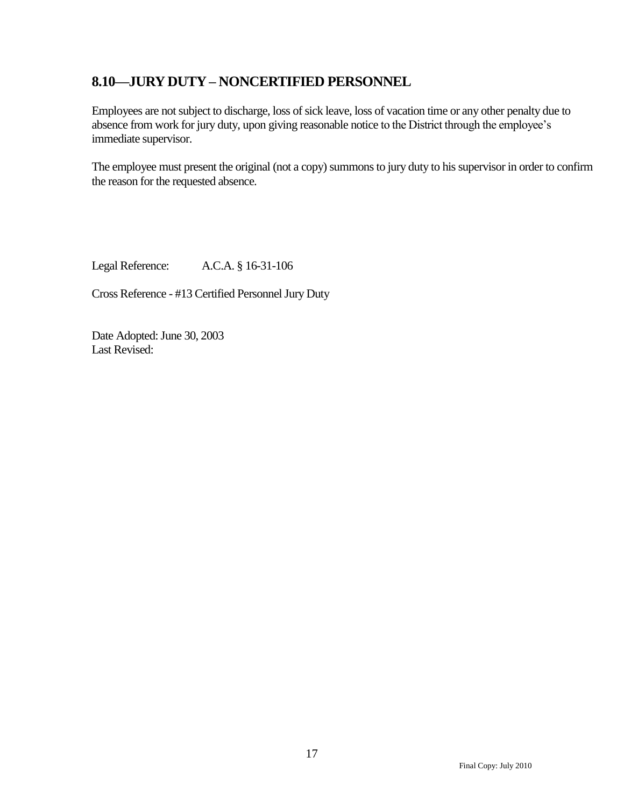### <span id="page-18-0"></span>**8.10—JURY DUTY – NONCERTIFIED PERSONNEL**

Employees are not subject to discharge, loss of sick leave, loss of vacation time or any other penalty due to absence from work for jury duty, upon giving reasonable notice to the District through the employee's immediate supervisor.

The employee must present the original (not a copy) summons to jury duty to his supervisor in order to confirm the reason for the requested absence.

Legal Reference: A.C.A. § 16-31-106

Cross Reference - #13 Certified Personnel Jury Duty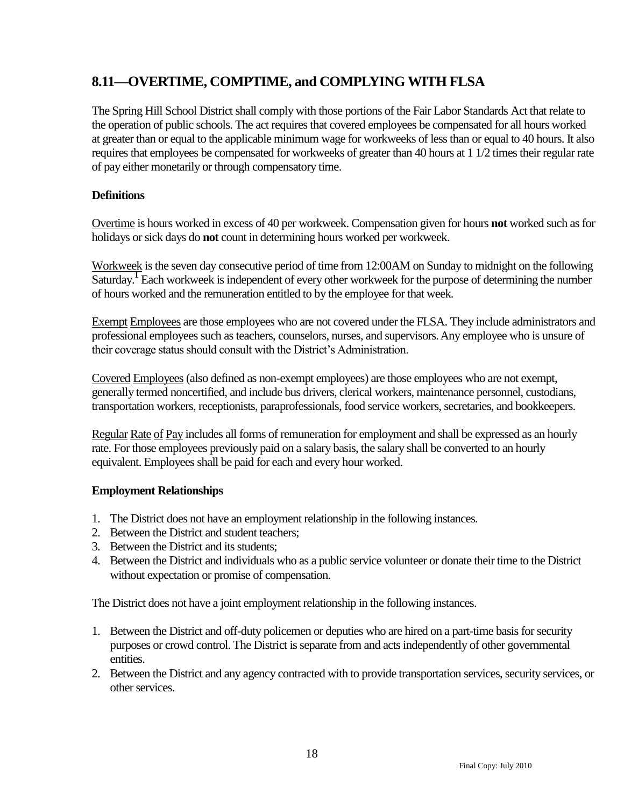## <span id="page-19-0"></span>**8.11—OVERTIME, COMPTIME, and COMPLYING WITH FLSA**

The Spring Hill School District shall comply with those portions of the Fair Labor Standards Act that relate to the operation of public schools. The act requires that covered employees be compensated for all hours worked at greater than or equal to the applicable minimum wage for workweeks of less than or equal to 40 hours. It also requires that employees be compensated for workweeks of greater than 40 hours at 1 1/2 times their regular rate of pay either monetarily or through compensatory time.

### **Definitions**

Overtime is hours worked in excess of 40 per workweek. Compensation given for hours **not** worked such as for holidays or sick days do **not** count in determining hours worked per workweek.

Workweek is the seven day consecutive period of time from 12:00AM on Sunday to midnight on the following Saturday.<sup>1</sup> Each workweek is independent of every other workweek for the purpose of determining the number of hours worked and the remuneration entitled to by the employee for that week.

Exempt Employees are those employees who are not covered under the FLSA. They include administrators and professional employees such as teachers, counselors, nurses, and supervisors.Any employee who is unsure of their coverage status should consult with the District's Administration.

Covered Employees (also defined as non-exempt employees) are those employees who are not exempt, generally termed noncertified, and include bus drivers, clerical workers, maintenance personnel, custodians, transportation workers, receptionists, paraprofessionals, food service workers, secretaries, and bookkeepers.

Regular Rate of Pay includes all forms of remuneration for employment and shall be expressed as an hourly rate. For those employees previously paid on a salary basis, the salary shall be converted to an hourly equivalent. Employees shall be paid for each and every hour worked.

### **Employment Relationships**

- 1. The District does not have an employment relationship in the following instances.
- 2. Between the District and student teachers;
- 3. Between the District and its students;
- 4. Between the District and individuals who as a public service volunteer or donate their time to the District without expectation or promise of compensation.

The District does not have a joint employment relationship in the following instances.

- 1. Between the District and off-duty policemen or deputies who are hired on a part-time basis for security purposes or crowd control. The District is separate from and acts independently of other governmental entities.
- 2. Between the District and any agency contracted with to provide transportation services, security services, or other services.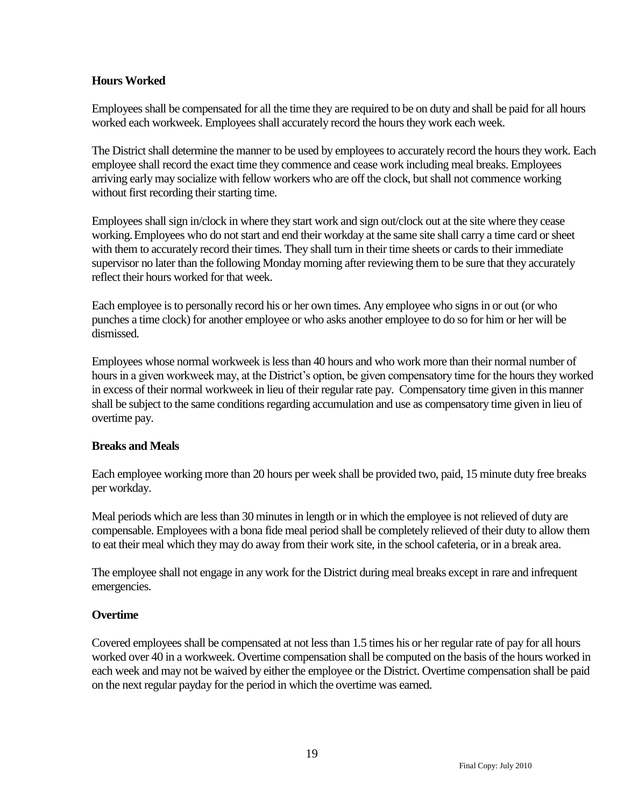#### **Hours Worked**

Employees shall be compensated for all the time they are required to be on duty and shall be paid for all hours worked each workweek. Employees shall accurately record the hours they work each week.

The District shall determine the manner to be used by employees to accurately record the hours they work. Each employee shall record the exact time they commence and cease work including meal breaks. Employees arriving early may socialize with fellow workers who are off the clock, but shall not commence working without first recording their starting time.

Employees shall sign in/clock in where they start work and sign out/clock out at the site where they cease working.Employees who do not start and end their workday at the same site shall carry a time card or sheet with them to accurately record their times. They shall turn in their time sheets or cards to their immediate supervisor no later than the following Monday morning after reviewing them to be sure that they accurately reflect their hours worked for that week.

Each employee is to personally record his or her own times. Any employee who signs in or out (or who punches a time clock) for another employee or who asks another employee to do so for him or her will be dismissed.

Employees whose normal workweek is less than 40 hours and who work more than their normal number of hours in a given workweek may, at the District's option, be given compensatory time for the hours they worked in excess of their normal workweek in lieu of their regular rate pay. Compensatory time given in this manner shall be subject to the same conditions regarding accumulation and use as compensatory time given in lieu of overtime pay.

#### **Breaks and Meals**

Each employee working more than 20 hours per week shall be provided two, paid, 15 minute duty free breaks per workday.

Meal periods which are less than 30 minutes in length or in which the employee is not relieved of duty are compensable. Employees with a bona fide meal period shall be completely relieved of their duty to allow them to eat their meal which they may do away from their work site, in the school cafeteria, or in a break area.

The employee shall not engage in any work for the District during meal breaks except in rare and infrequent emergencies.

#### **Overtime**

Covered employees shall be compensated at not less than 1.5 times his or her regular rate of pay for all hours worked over 40 in a workweek. Overtime compensation shall be computed on the basis of the hours worked in each week and may not be waived by either the employee or the District. Overtime compensation shall be paid on the next regular payday for the period in which the overtime was earned.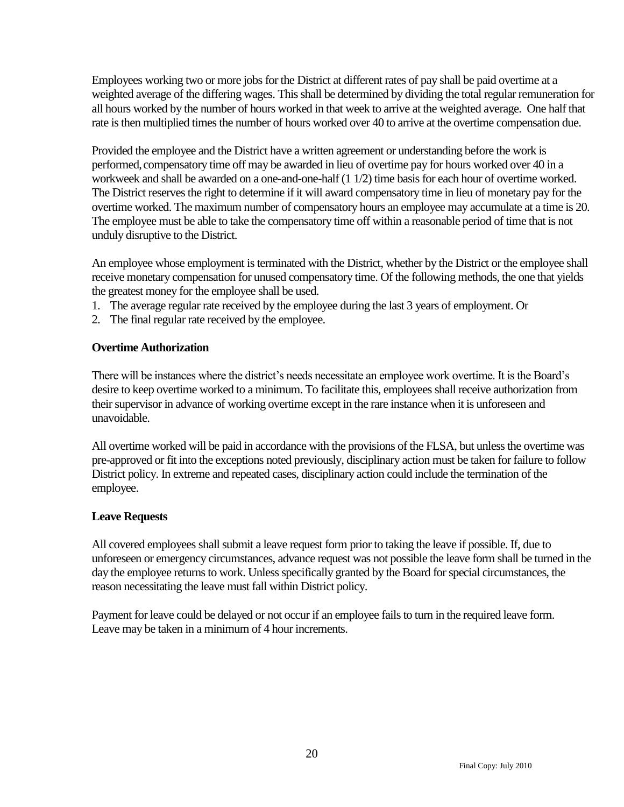Employees working two or more jobs for the District at different rates of pay shall be paid overtime at a weighted average of the differing wages. This shall be determined by dividing the total regular remuneration for all hours worked by the number of hours worked in that week to arrive at the weighted average. One half that rate is then multiplied times the number of hours worked over 40 to arrive at the overtime compensation due.

Provided the employee and the District have a written agreement or understanding before the work is performed, compensatory time off may be awarded in lieu of overtime pay for hours worked over 40 in a workweek and shall be awarded on a one-and-one-half (1 1/2) time basis for each hour of overtime worked. The District reserves the right to determine if it will award compensatory time in lieu of monetary pay for the overtime worked. The maximum number of compensatory hours an employee may accumulate at a time is 20. The employee must be able to take the compensatory time off within a reasonable period of time that is not unduly disruptive to the District.

An employee whose employment is terminated with the District, whether by the District or the employee shall receive monetary compensation for unused compensatory time. Of the following methods, the one that yields the greatest money for the employee shall be used.

- 1. The average regular rate received by the employee during the last 3 years of employment. Or
- 2. The final regular rate received by the employee.

#### **Overtime Authorization**

There will be instances where the district's needs necessitate an employee work overtime. It is the Board's desire to keep overtime worked to a minimum. To facilitate this, employees shall receive authorization from their supervisor in advance of working overtime except in the rare instance when it is unforeseen and unavoidable.

All overtime worked will be paid in accordance with the provisions of the FLSA, but unless the overtime was pre-approved or fit into the exceptions noted previously, disciplinary action must be taken for failure to follow District policy. In extreme and repeated cases, disciplinary action could include the termination of the employee.

#### **Leave Requests**

All covered employees shall submit a leave request form prior to taking the leave if possible. If, due to unforeseen or emergency circumstances, advance request was not possible the leave form shall be turned in the day the employee returns to work. Unless specifically granted by the Board for special circumstances, the reason necessitating the leave must fall within District policy.

Payment for leave could be delayed or not occur if an employee fails to turn in the required leave form. Leave may be taken in a minimum of 4 hour increments.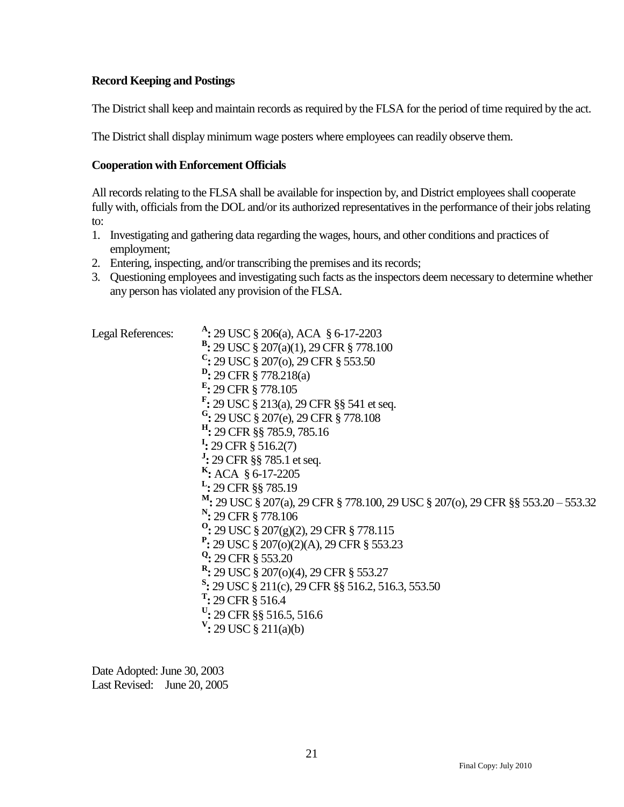#### **Record Keeping and Postings**

The District shall keep and maintain records as required by the FLSA for the period of time required by the act.

The District shall display minimum wage posters where employees can readily observe them.

#### **Cooperation with Enforcement Officials**

All records relating to the FLSA shall be available for inspection by, and District employees shall cooperate fully with, officials from the DOL and/or its authorized representatives in the performance of their jobs relating to:

- 1. Investigating and gathering data regarding the wages, hours, and other conditions and practices of employment;
- 2. Entering, inspecting, and/or transcribing the premises and its records;
- 3. Questioning employees and investigating such facts as the inspectors deem necessary to determine whether any person has violated any provision of the FLSA.

Legal References: **:** 29 USC § 206(a), ACA § 6-17-2203 **B :** 29 USC § 207(a)(1), 29 CFR § 778.100 **C :** 29 USC § 207(o), 29 CFR § 553.50 **D :** 29 CFR § 778.218(a) **E :** 29 CFR § 778.105 **F :** 29 USC § 213(a), 29 CFR §§ 541 et seq. **G :** 29 USC § 207(e), 29 CFR § 778.108 **H :** 29 CFR §§ 785.9, 785.16 **I :** 29 CFR § 516.2(7) **J :** 29 CFR §§ 785.1 et seq. **K :** ACA § 6-17-2205 **L :** 29 CFR §§ 785.19 **<sup>M</sup>:** 29 USC § 207(a), 29 CFR § 778.100, 29 USC § 207(o), 29 CFR §§ 553.20 – 553.32 **N :** 29 CFR § 778.106 **O :** 29 USC § 207(g)(2), 29 CFR § 778.115 **P :** 29 USC § 207(o)(2)(A), 29 CFR § 553.23 **Q :** 29 CFR § 553.20 **R :** 29 USC § 207(o)(4), 29 CFR § 553.27 **S :** 29 USC § 211(c), 29 CFR §§ 516.2, 516.3, 553.50 **T :** 29 CFR § 516.4 **U :** 29 CFR §§ 516.5, 516.6 **V :** 29 USC § 211(a)(b)

Date Adopted: June 30, 2003 Last Revised: June 20, 2005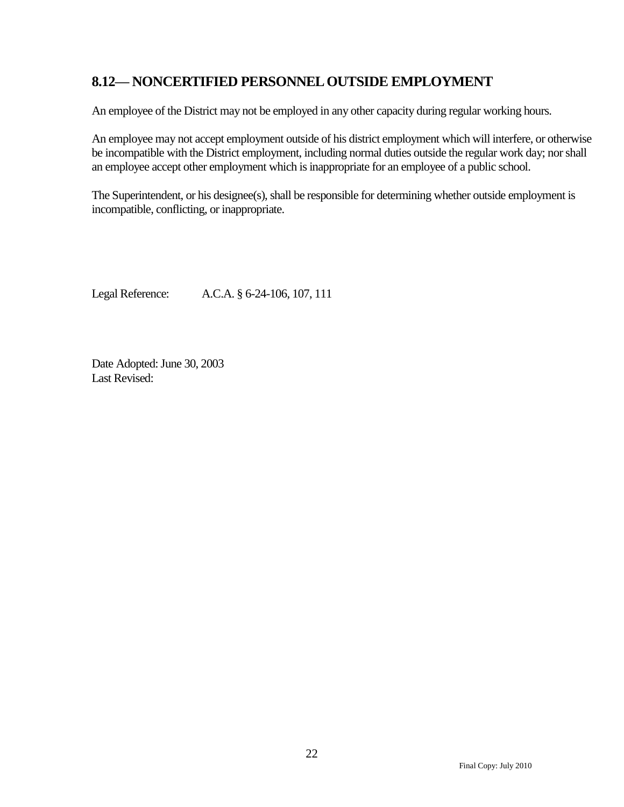### <span id="page-23-0"></span>**8.12— NONCERTIFIED PERSONNEL OUTSIDE EMPLOYMENT**

An employee of the District may not be employed in any other capacity during regular working hours.

An employee may not accept employment outside of his district employment which will interfere, or otherwise be incompatible with the District employment, including normal duties outside the regular work day; nor shall an employee accept other employment which is inappropriate for an employee of a public school.

The Superintendent, or his designee(s), shall be responsible for determining whether outside employment is incompatible, conflicting, or inappropriate.

Legal Reference: A.C.A. § 6-24-106, 107, 111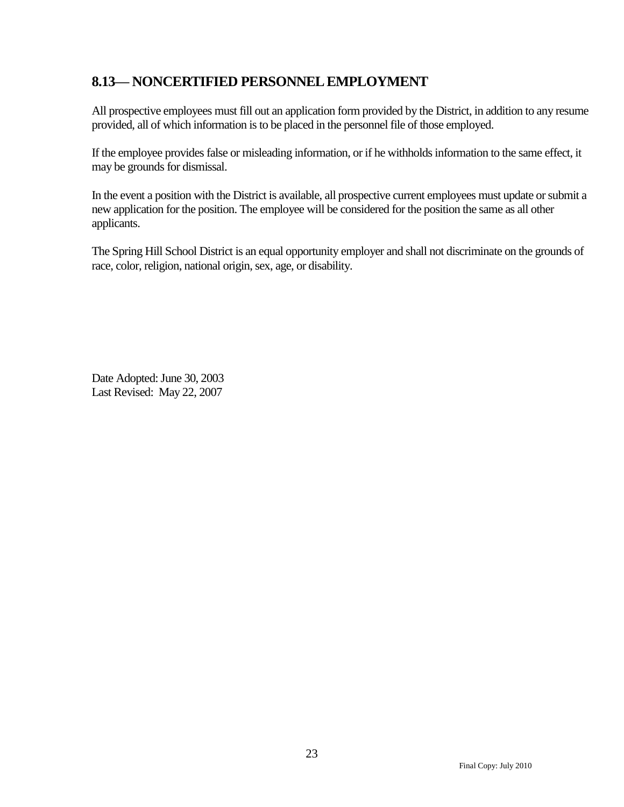### <span id="page-24-0"></span>**8.13— NONCERTIFIED PERSONNEL EMPLOYMENT**

All prospective employees must fill out an application form provided by the District, in addition to any resume provided, all of which information is to be placed in the personnel file of those employed.

If the employee provides false or misleading information, or if he withholds information to the same effect, it may be grounds for dismissal.

In the event a position with the District is available, all prospective current employees must update or submit a new application for the position. The employee will be considered for the position the same as all other applicants.

The Spring Hill School District is an equal opportunity employer and shall not discriminate on the grounds of race, color, religion, national origin, sex, age, or disability.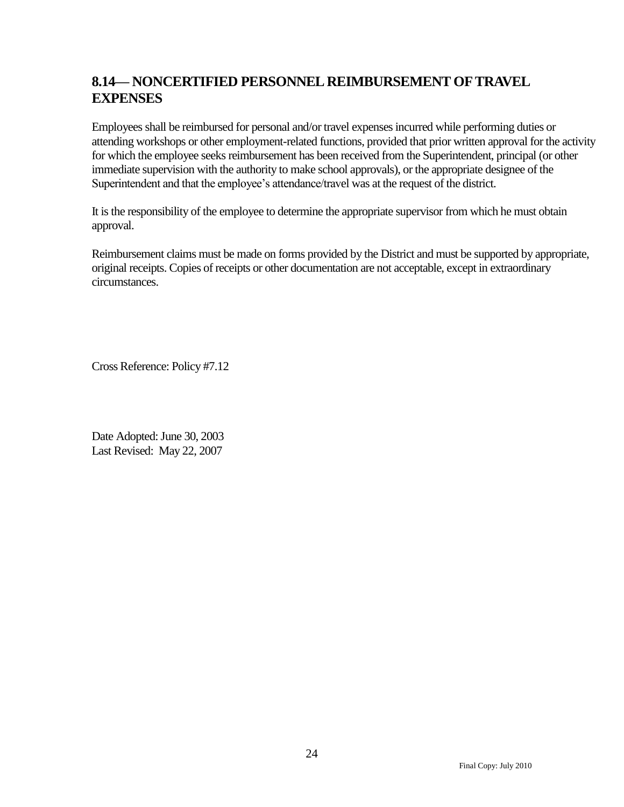## <span id="page-25-0"></span>**8.14— NONCERTIFIED PERSONNEL REIMBURSEMENT OFTRAVEL EXPENSES**

Employees shall be reimbursed for personal and/or travel expenses incurred while performing duties or attending workshops or other employment-related functions, provided that prior written approval for the activity for which the employee seeks reimbursement has been received from the Superintendent, principal (or other immediate supervision with the authority to make school approvals), or the appropriate designee of the Superintendent and that the employee's attendance/travel was at the request of the district.

It is the responsibility of the employee to determine the appropriate supervisor from which he must obtain approval.

Reimbursement claims must be made on forms provided by the District and must be supported by appropriate, original receipts. Copies of receipts or other documentation are not acceptable, except in extraordinary circumstances.

Cross Reference: Policy #7.12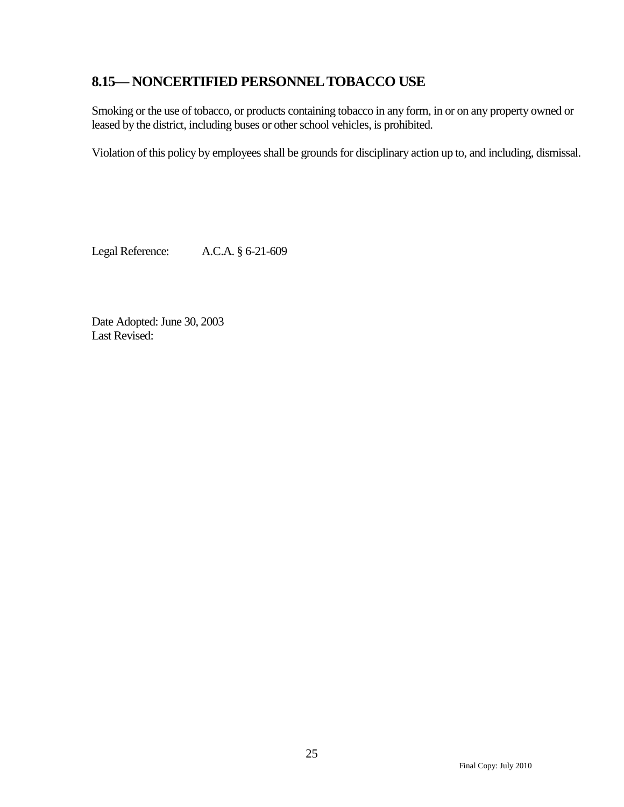### <span id="page-26-0"></span>**8.15— NONCERTIFIED PERSONNEL TOBACCO USE**

Smoking or the use of tobacco, or products containing tobacco in any form, in or on any property owned or leased by the district, including buses or other school vehicles, is prohibited.

Violation of this policy by employees shall be grounds for disciplinary action up to, and including, dismissal.

Legal Reference: A.C.A. § 6-21-609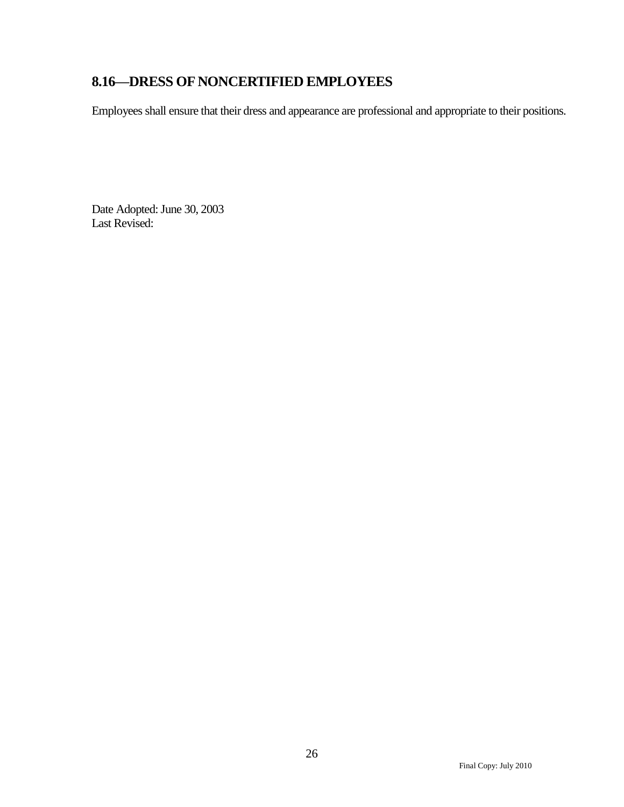# <span id="page-27-0"></span>**8.16—DRESS OF NONCERTIFIED EMPLOYEES**

Employees shall ensure that their dress and appearance are professional and appropriate to their positions.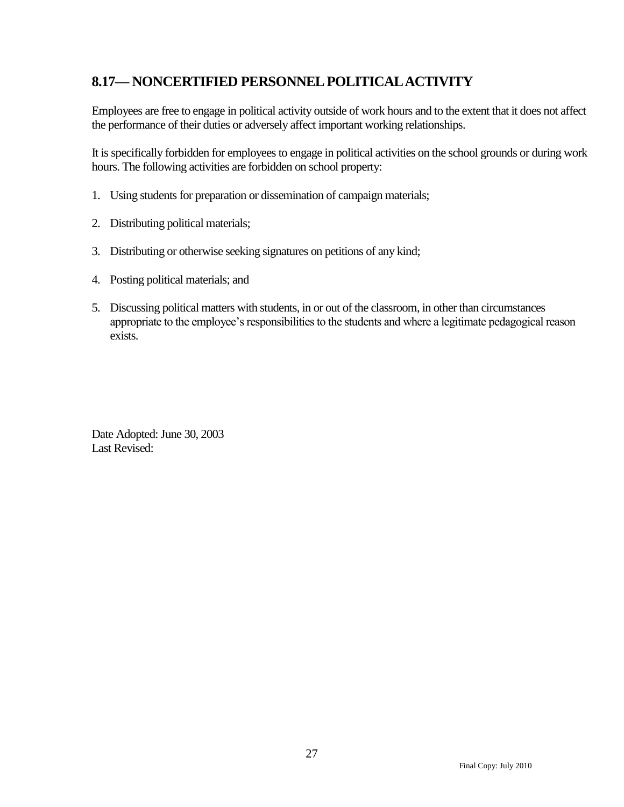## <span id="page-28-0"></span>**8.17— NONCERTIFIED PERSONNEL POLITICAL ACTIVITY**

Employees are free to engage in political activity outside of work hours and to the extent that it does not affect the performance of their duties or adversely affect important working relationships.

It is specifically forbidden for employees to engage in political activities on the school grounds or during work hours. The following activities are forbidden on school property:

- 1. Using students for preparation or dissemination of campaign materials;
- 2. Distributing political materials;
- 3. Distributing or otherwise seeking signatures on petitions of any kind;
- 4. Posting political materials; and
- 5. Discussing political matters with students, in or out of the classroom, in other than circumstances appropriate to the employee's responsibilities to the students and where a legitimate pedagogical reason exists.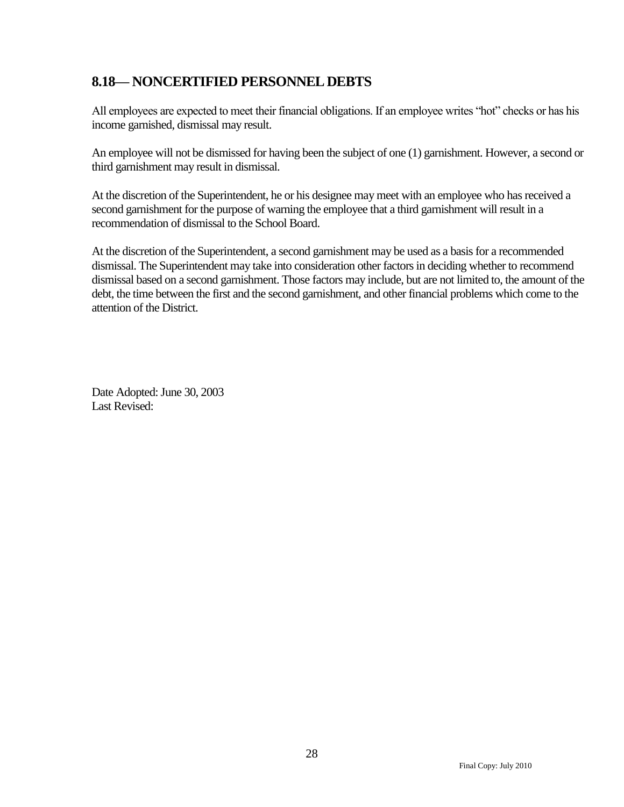### <span id="page-29-0"></span>**8.18— NONCERTIFIED PERSONNEL DEBTS**

All employees are expected to meet their financial obligations. If an employee writes "hot" checks or has his income garnished, dismissal may result.

An employee will not be dismissed for having been the subject of one (1) garnishment. However, a second or third garnishment may result in dismissal.

At the discretion of the Superintendent, he or his designee may meet with an employee who has received a second garnishment for the purpose of warning the employee that a third garnishment will result in a recommendation of dismissal to the School Board.

At the discretion of the Superintendent, a second garnishment may be used as a basis for a recommended dismissal. The Superintendent may take into consideration other factors in deciding whether to recommend dismissal based on a second garnishment. Those factors may include, but are not limited to, the amount of the debt, the time between the first and the second garnishment, and other financial problems which come to the attention of the District.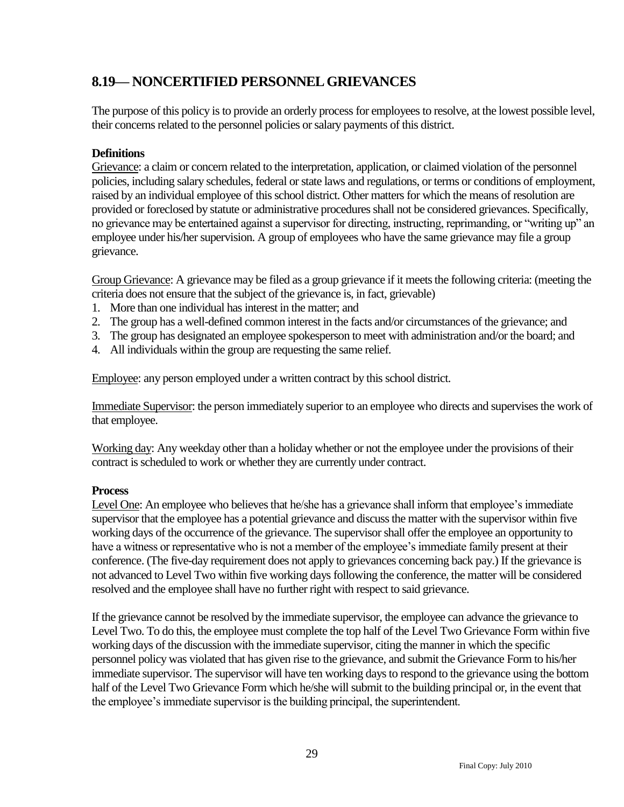### <span id="page-30-0"></span>**8.19— NONCERTIFIED PERSONNEL GRIEVANCES**

The purpose of this policy is to provide an orderly process for employees to resolve, at the lowest possible level, their concerns related to the personnel policies or salary payments of this district.

#### **Definitions**

Grievance: a claim or concern related to the interpretation, application, or claimed violation of the personnel policies, including salary schedules, federal or state laws and regulations, or terms or conditions of employment, raised by an individual employee of this school district. Other matters for which the means of resolution are provided or foreclosed by statute or administrative procedures shall not be considered grievances. Specifically, no grievance may be entertained against a supervisor for directing, instructing, reprimanding, or "writing up" an employee under his/her supervision. A group of employees who have the same grievance may file a group grievance.

Group Grievance: A grievance may be filed as a group grievance if it meets the following criteria: (meeting the criteria does not ensure that the subject of the grievance is, in fact, grievable)

- 1. More than one individual has interest in the matter; and
- 2. The group has a well-defined common interest in the facts and/or circumstances of the grievance; and
- 3. The group has designated an employee spokesperson to meet with administration and/or the board; and
- 4. All individuals within the group are requesting the same relief.

Employee: any person employed under a written contract by this school district.

Immediate Supervisor: the person immediately superior to an employee who directs and supervises the work of that employee.

Working day: Any weekday other than a holiday whether or not the employee under the provisions of their contract is scheduled to work or whether they are currently under contract.

#### **Process**

Level One: An employee who believes that he/she has a grievance shall inform that employee's immediate supervisor that the employee has a potential grievance and discuss the matter with the supervisor within five working days of the occurrence of the grievance. The supervisor shall offer the employee an opportunity to have a witness or representative who is not a member of the employee's immediate family present at their conference. (The five-day requirement does not apply to grievances concerning back pay.) If the grievance is not advanced to Level Two within five working days following the conference, the matter will be considered resolved and the employee shall have no further right with respect to said grievance.

If the grievance cannot be resolved by the immediate supervisor, the employee can advance the grievance to Level Two. To do this, the employee must complete the top half of the Level Two Grievance Form within five working days of the discussion with the immediate supervisor, citing the manner in which the specific personnel policy was violated that has given rise to the grievance, and submit the Grievance Form to his/her immediate supervisor. The supervisor will have ten working days to respond to the grievance using the bottom half of the Level Two Grievance Form which he/she will submit to the building principal or, in the event that the employee's immediate supervisor is the building principal, the superintendent.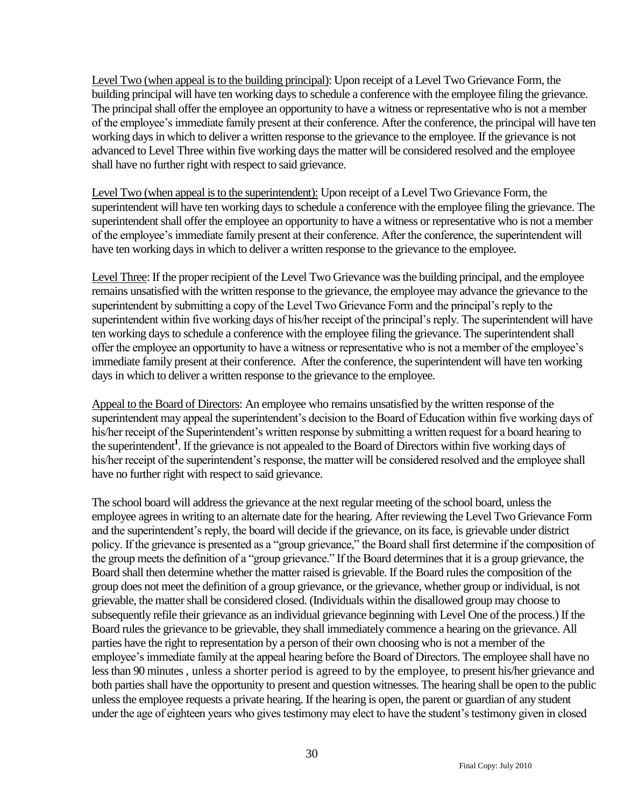Level Two (when appeal is to the building principal): Upon receipt of a Level Two Grievance Form, the building principal will have ten working days to schedule a conference with the employee filing the grievance. The principal shall offer the employee an opportunity to have a witness or representative who is not a member of the employee's immediate family present at their conference. After the conference, the principal will have ten working days in which to deliver a written response to the grievance to the employee. If the grievance is not advanced to Level Three within five working days the matter will be considered resolved and the employee shall have no further right with respect to said grievance.

Level Two (when appeal is to the superintendent): Upon receipt of a Level Two Grievance Form, the superintendent will have ten working days to schedule a conference with the employee filing the grievance. The superintendent shall offer the employee an opportunity to have a witness or representative who is not a member of the employee's immediate family present at their conference. After the conference, the superintendent will have ten working days in which to deliver a written response to the grievance to the employee.

Level Three: If the proper recipient of the Level Two Grievance was the building principal, and the employee remains unsatisfied with the written response to the grievance, the employee may advance the grievance to the superintendent by submitting a copy of the Level Two Grievance Form and the principal's reply to the superintendent within five working days of his/her receipt of the principal's reply. The superintendent will have ten working days to schedule a conference with the employee filing the grievance. The superintendent shall offer the employee an opportunity to have a witness or representative who is not a member of the employee's immediate family present at their conference. After the conference, the superintendent will have ten working days in which to deliver a written response to the grievance to the employee.

Appeal to the Board of Directors: An employee who remains unsatisfied by the written response of the superintendent may appeal the superintendent's decision to the Board of Education within five working days of his/her receipt of the Superintendent's written response by submitting a written request for a board hearing to the superintendent**<sup>1</sup>** . If the grievance is not appealed to the Board of Directors within five working days of his/her receipt of the superintendent's response, the matter will be considered resolved and the employee shall have no further right with respect to said grievance.

The school board will address the grievance at the next regular meeting of the school board, unless the employee agrees in writing to an alternate date for the hearing. After reviewing the Level Two Grievance Form and the superintendent's reply, the board will decide if the grievance, on its face, is grievable under district policy. If the grievance is presented as a "group grievance," the Board shall first determine if the composition of the group meets the definition of a "group grievance." If the Board determines that it is a group grievance, the Board shall then determine whether the matter raised is grievable. If the Board rules the composition of the group does not meet the definition of a group grievance, or the grievance, whether group or individual, is not grievable, the matter shall be considered closed. (Individuals within the disallowed group may choose to subsequently refile their grievance as an individual grievance beginning with Level One of the process.) If the Board rules the grievance to be grievable, they shall immediately commence a hearing on the grievance. All parties have the right to representation by a person of their own choosing who is not a member of the employee's immediate family at the appeal hearing before the Board of Directors. The employee shall have no less than 90 minutes , unless a shorter period is agreed to by the employee, to present his/her grievance and both parties shall have the opportunity to present and question witnesses. The hearing shall be open to the public unless the employee requests a private hearing. If the hearing is open, the parent or guardian of any student under the age of eighteen years who gives testimony may elect to have the student's testimony given in closed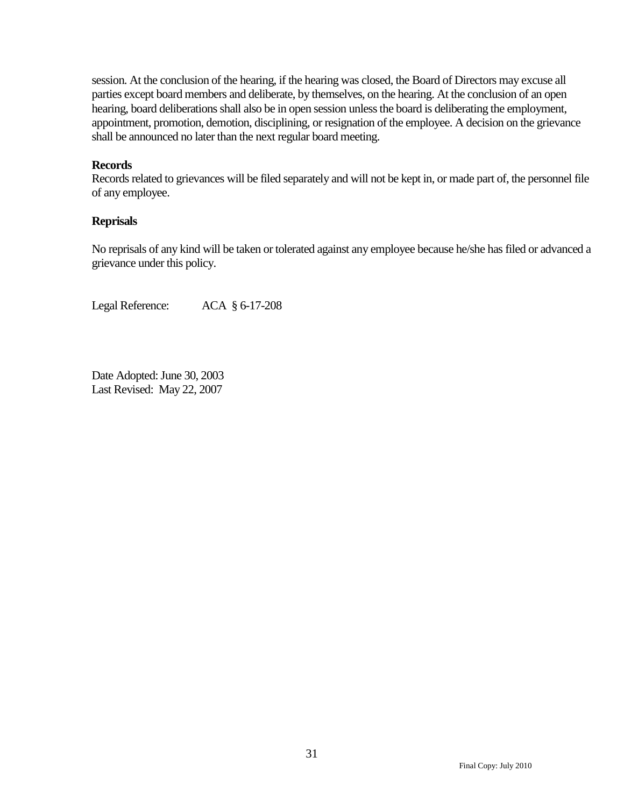session. At the conclusion of the hearing, if the hearing was closed, the Board of Directors may excuse all parties except board members and deliberate, by themselves, on the hearing. At the conclusion of an open hearing, board deliberations shall also be in open session unless the board is deliberating the employment, appointment, promotion, demotion, disciplining, or resignation of the employee. A decision on the grievance shall be announced no later than the next regular board meeting.

#### **Records**

Records related to grievances will be filed separately and will not be kept in, or made part of, the personnel file of any employee.

#### **Reprisals**

No reprisals of any kind will be taken or tolerated against any employee because he/she has filed or advanced a grievance under this policy.

Legal Reference: ACA § 6-17-208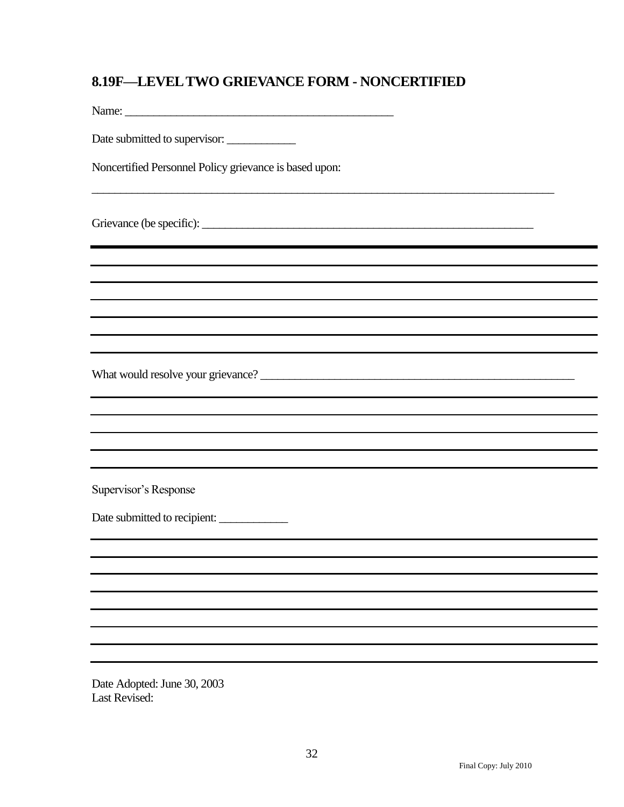### <span id="page-33-0"></span>**8.19F—LEVEL TWO GRIEVANCE FORM - NONCERTIFIED**

\_\_\_\_\_\_\_\_\_\_\_\_\_\_\_\_\_\_\_\_\_\_\_\_\_\_\_\_\_\_\_\_\_\_\_\_\_\_\_\_\_\_\_\_\_\_\_\_\_\_\_\_\_\_\_\_\_\_\_\_\_\_\_\_\_\_\_\_\_\_\_\_\_\_\_\_\_\_\_\_\_

Name: \_\_\_\_\_\_\_\_\_\_\_\_\_\_\_\_\_\_\_\_\_\_\_\_\_\_\_\_\_\_\_\_\_\_\_\_\_\_\_\_\_\_\_\_\_\_\_

Date submitted to supervisor: \_\_\_\_\_\_\_\_\_\_\_\_

Noncertified Personnel Policy grievance is based upon:

Grievance (be specific): \_\_\_\_\_\_\_\_\_\_\_\_\_\_\_\_\_\_\_\_\_\_\_\_\_\_\_\_\_\_\_\_\_\_\_\_\_\_\_\_\_\_\_\_\_\_\_\_\_\_\_\_\_\_\_\_\_\_

What would resolve your grievance? \_\_\_\_\_\_\_\_\_\_\_\_\_\_\_\_\_\_\_\_\_\_\_\_\_\_\_\_\_\_\_\_\_\_\_\_\_\_\_\_\_\_\_\_\_\_\_\_\_\_\_\_\_\_\_

Supervisor's Response

Date submitted to recipient: \_\_\_\_\_\_\_\_\_\_\_\_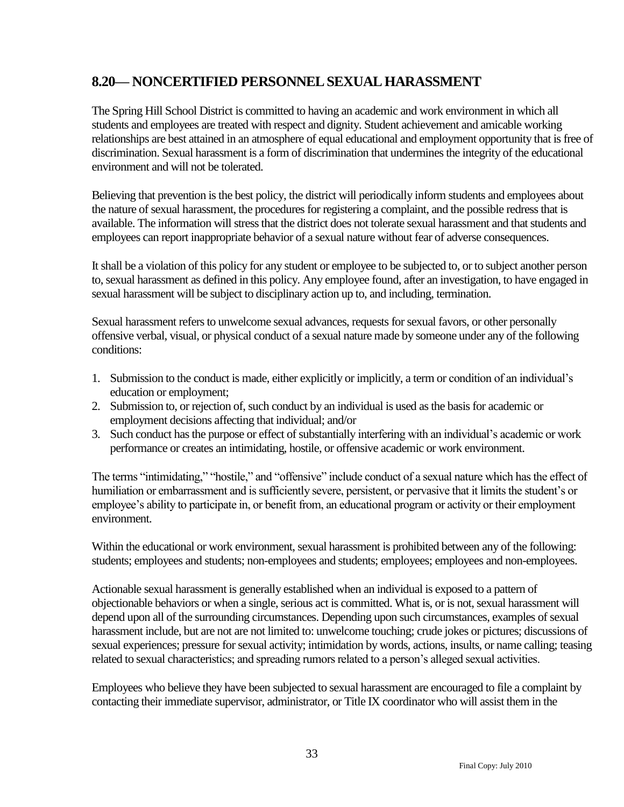### <span id="page-34-0"></span>**8.20— NONCERTIFIED PERSONNEL SEXUAL HARASSMENT**

The Spring Hill School District is committed to having an academic and work environment in which all students and employees are treated with respect and dignity. Student achievement and amicable working relationships are best attained in an atmosphere of equal educational and employment opportunity that is free of discrimination. Sexual harassment is a form of discrimination that undermines the integrity of the educational environment and will not be tolerated.

Believing that prevention is the best policy, the district will periodically inform students and employees about the nature of sexual harassment, the procedures for registering a complaint, and the possible redress that is available. The information will stress that the district does not tolerate sexual harassment and that students and employees can report inappropriate behavior of a sexual nature without fear of adverse consequences.

It shall be a violation of this policy for any student or employee to be subjected to, or to subject another person to, sexual harassment as defined in this policy. Any employee found, after an investigation, to have engaged in sexual harassment will be subject to disciplinary action up to, and including, termination.

Sexual harassment refers to unwelcome sexual advances, requests for sexual favors, or other personally offensive verbal, visual, or physical conduct of a sexual nature made by someone under any of the following conditions:

- 1. Submission to the conduct is made, either explicitly or implicitly, a term or condition of an individual's education or employment;
- 2. Submission to, or rejection of, such conduct by an individual is used as the basis for academic or employment decisions affecting that individual; and/or
- 3. Such conduct has the purpose or effect of substantially interfering with an individual's academic or work performance or creates an intimidating, hostile, or offensive academic or work environment.

The terms "intimidating," "hostile," and "offensive" include conduct of a sexual nature which has the effect of humiliation or embarrassment and is sufficiently severe, persistent, or pervasive that it limits the student's or employee's ability to participate in, or benefit from, an educational program or activity or their employment environment.

Within the educational or work environment, sexual harassment is prohibited between any of the following: students; employees and students; non-employees and students; employees; employees and non-employees.

Actionable sexual harassment is generally established when an individual is exposed to a pattern of objectionable behaviors or when a single, serious act is committed. What is, or is not, sexual harassment will depend upon all of the surrounding circumstances. Depending upon such circumstances, examples of sexual harassment include, but are not are not limited to: unwelcome touching; crude jokes or pictures; discussions of sexual experiences; pressure for sexual activity; intimidation by words, actions, insults, or name calling; teasing related to sexual characteristics; and spreading rumors related to a person's alleged sexual activities.

Employees who believe they have been subjected to sexual harassment are encouraged to file a complaint by contacting their immediate supervisor, administrator, or Title IX coordinator who will assist them in the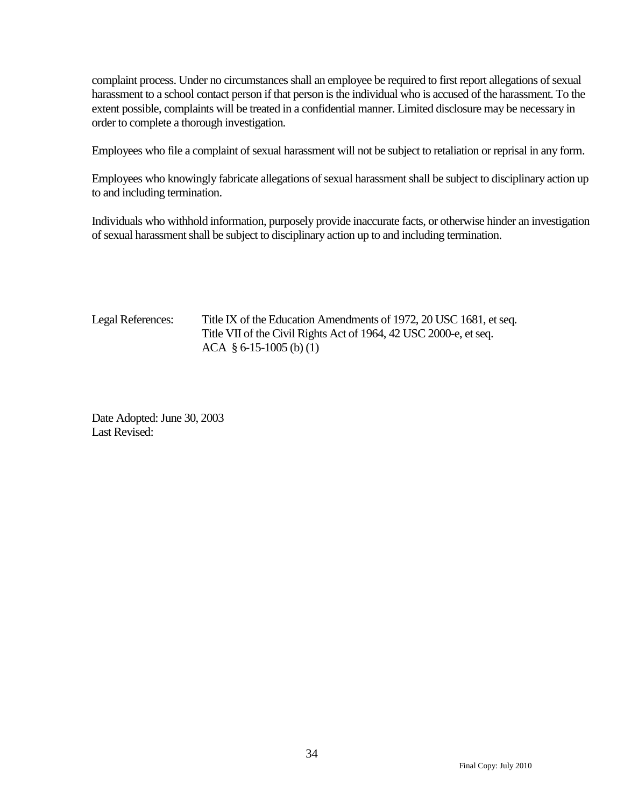complaint process. Under no circumstances shall an employee be required to first report allegations of sexual harassment to a school contact person if that person is the individual who is accused of the harassment. To the extent possible, complaints will be treated in a confidential manner. Limited disclosure may be necessary in order to complete a thorough investigation.

Employees who file a complaint of sexual harassment will not be subject to retaliation or reprisal in any form.

Employees who knowingly fabricate allegations of sexual harassment shall be subject to disciplinary action up to and including termination.

Individuals who withhold information, purposely provide inaccurate facts, or otherwise hinder an investigation of sexual harassment shall be subject to disciplinary action up to and including termination.

Legal References: Title IX of the Education Amendments of 1972, 20 USC 1681, et seq. Title VII of the Civil Rights Act of 1964, 42 USC 2000-e, et seq. ACA § 6-15-1005 (b) (1)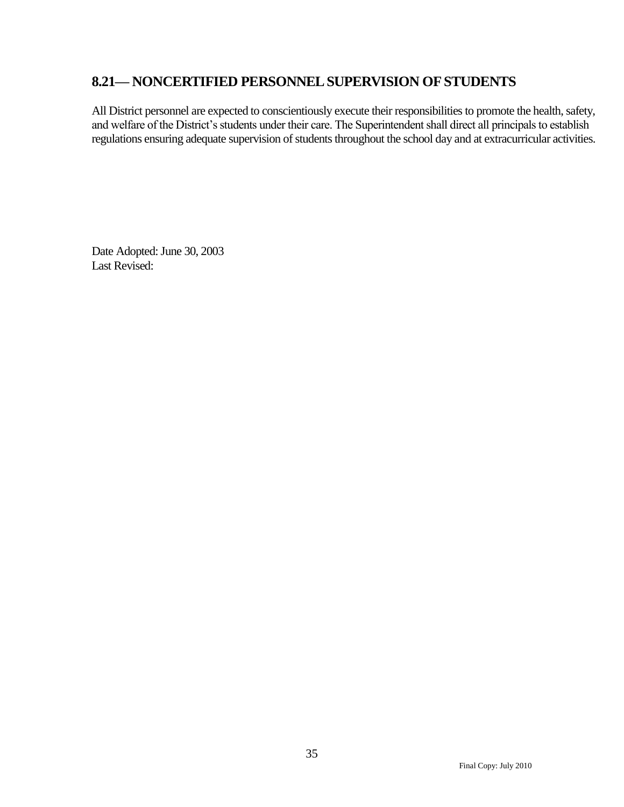### <span id="page-36-0"></span>**8.21— NONCERTIFIED PERSONNEL SUPERVISION OF STUDENTS**

All District personnel are expected to conscientiously execute their responsibilities to promote the health, safety, and welfare of the District's students under their care. The Superintendent shall direct all principals to establish regulations ensuring adequate supervision of students throughout the school day and at extracurricular activities.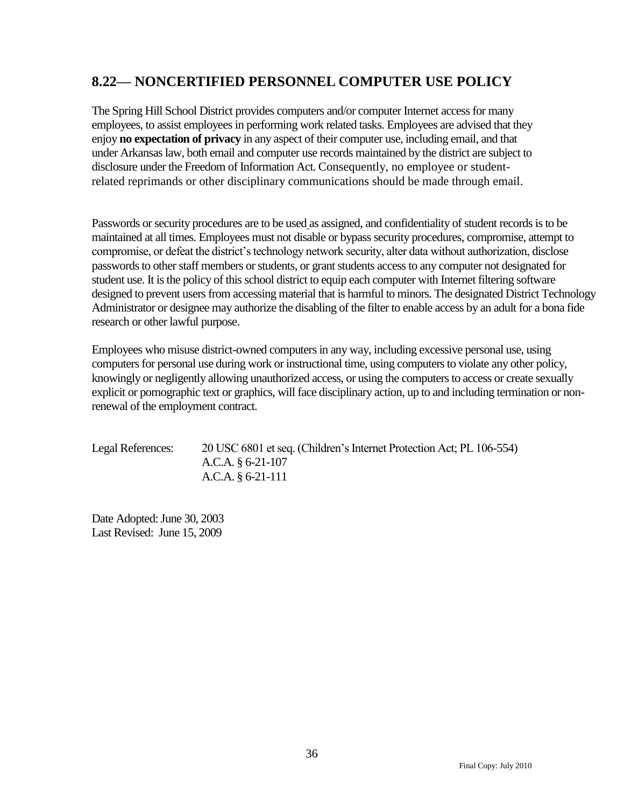### <span id="page-37-0"></span>**8.22— NONCERTIFIED PERSONNEL COMPUTER USE POLICY**

The Spring Hill School District provides computers and/or computer Internet access for many employees, to assist employees in performing work related tasks. Employees are advised that they enjoy **no expectation of privacy** in any aspect of their computer use, including email, and that under Arkansas law, both email and computer use records maintained by the district are subject to disclosure under the Freedom of Information Act. Consequently, no employee or studentrelated reprimands or other disciplinary communications should be made through email.

Passwords or security procedures are to be used as assigned, and confidentiality of student records is to be maintained at all times. Employees must not disable or bypass security procedures, compromise, attempt to compromise, or defeat the district's technology network security, alter data without authorization, disclose passwords to other staff members or students, or grant students access to any computer not designated for student use. It is the policy of this school district to equip each computer with Internet filtering software designed to prevent users from accessing material that is harmful to minors. The designated District Technology Administrator or designee may authorize the disabling of the filter to enable access by an adult for a bona fide research or other lawful purpose.

Employees who misuse district-owned computers in any way, including excessive personal use, using computers for personal use during work or instructional time, using computers to violate any other policy, knowingly or negligently allowing unauthorized access, or using the computers to access or create sexually explicit or pornographic text or graphics, will face disciplinary action, up to and including termination or nonrenewal of the employment contract.

Legal References: 20 USC 6801 et seq. (Children's Internet Protection Act; PL 106-554) A.C.A. § 6-21-107 A.C.A. § 6-21-111

Date Adopted: June 30, 2003 Last Revised: June 15, 2009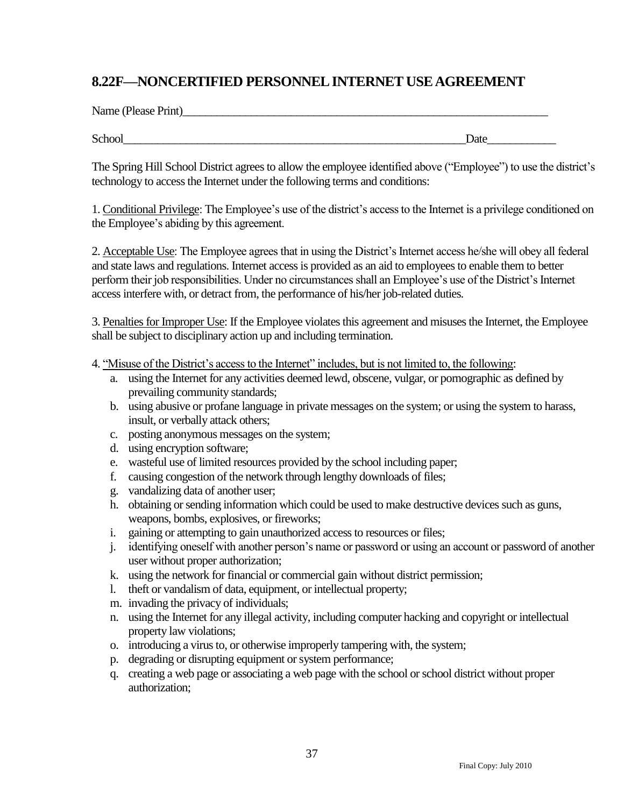### <span id="page-38-0"></span>**8.22F—NONCERTIFIED PERSONNELINTERNET USE AGREEMENT**

School\_\_\_\_\_\_\_\_\_\_\_\_\_\_\_\_\_\_\_\_\_\_\_\_\_\_\_\_\_\_\_\_\_\_\_\_\_\_\_\_\_\_\_\_\_\_\_\_\_\_\_\_\_\_\_\_\_\_\_\_Date\_\_\_\_\_\_\_\_\_\_\_\_

The Spring Hill School District agrees to allow the employee identified above ("Employee") to use the district's technology to access the Internet under the following terms and conditions:

1. Conditional Privilege: The Employee's use of the district's access to the Internet is a privilege conditioned on the Employee's abiding by this agreement.

2. Acceptable Use: The Employee agrees that in using the District's Internet access he/she will obey all federal and state laws and regulations. Internet access is provided as an aid to employees to enable them to better perform their job responsibilities. Under no circumstances shall an Employee's use of the District's Internet access interfere with, or detract from, the performance of his/her job-related duties.

3. Penalties for Improper Use: If the Employee violates this agreement and misuses the Internet, the Employee shall be subject to disciplinary action up and including termination.

4. "Misuse of the District's access to the Internet" includes, but is not limited to, the following:

- a. using the Internet for any activities deemed lewd, obscene, vulgar, or pornographic as defined by prevailing community standards;
- b. using abusive or profane language in private messages on the system; or using the system to harass, insult, or verbally attack others;
- c. posting anonymous messages on the system;
- d. using encryption software;
- e. wasteful use of limited resources provided by the school including paper;
- f. causing congestion of the network through lengthy downloads of files;
- g. vandalizing data of another user;
- h. obtaining or sending information which could be used to make destructive devices such as guns, weapons, bombs, explosives, or fireworks;
- i. gaining or attempting to gain unauthorized access to resources or files;
- j. identifying oneself with another person's name or password or using an account or password of another user without proper authorization;
- k. using the network for financial or commercial gain without district permission;
- l. theft or vandalism of data, equipment, or intellectual property;
- m. invading the privacy of individuals;
- n. using the Internet for any illegal activity, including computer hacking and copyright or intellectual property law violations;
- o. introducing a virus to, or otherwise improperly tampering with, the system;
- p. degrading or disrupting equipment or system performance;
- q. creating a web page or associating a web page with the school or school district without proper authorization;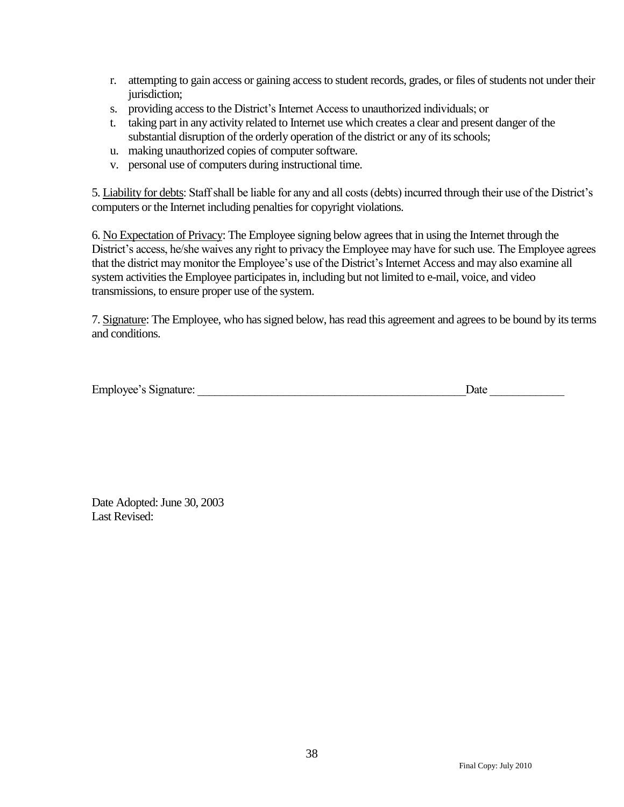- r. attempting to gain access or gaining access to student records, grades, or files of students not under their jurisdiction;
- s. providing access to the District's Internet Access to unauthorized individuals; or
- t. taking part in any activity related to Internet use which creates a clear and present danger of the substantial disruption of the orderly operation of the district or any of its schools;
- u. making unauthorized copies of computer software.
- v. personal use of computers during instructional time.

5. Liability for debts: Staff shall be liable for any and all costs (debts) incurred through their use of the District's computers or the Internet including penalties for copyright violations.

6. No Expectation of Privacy: The Employee signing below agrees that in using the Internet through the District's access, he/she waives any right to privacy the Employee may have for such use. The Employee agrees that the district may monitor the Employee's use of the District's Internet Access and may also examine all system activities the Employee participates in, including but not limited to e-mail, voice, and video transmissions, to ensure proper use of the system.

7. Signature: The Employee, who has signed below, has read this agreement and agrees to be bound by its terms and conditions.

|  | <b>Employee's Signature:</b> |      |  |
|--|------------------------------|------|--|
|  |                              | Date |  |
|  |                              |      |  |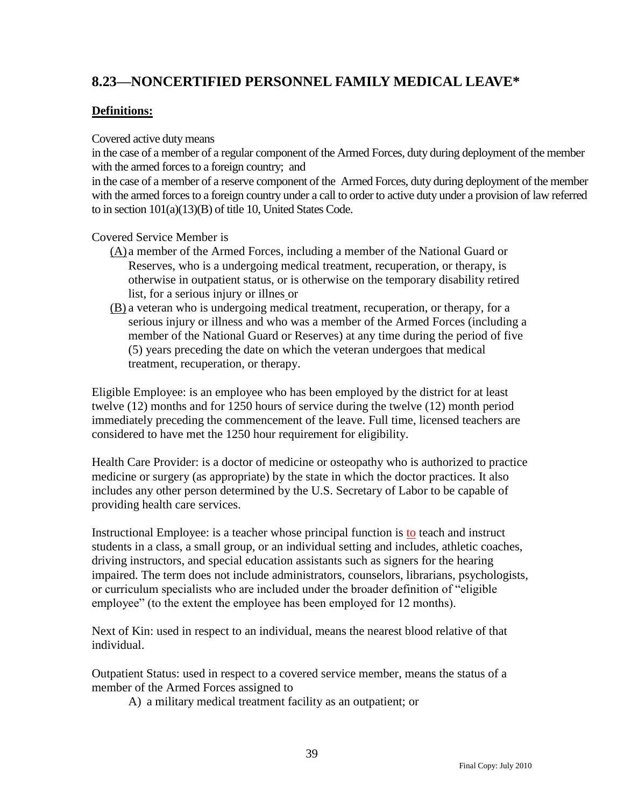## <span id="page-40-0"></span>**8.23—NONCERTIFIED PERSONNEL FAMILY MEDICAL LEAVE\***

### **Definitions:**

Covered active duty means

in the case of a member of a regular component of the Armed Forces, duty during deployment of the member with the armed forces to a foreign country; and

in the case of a member of a reserve component of the Armed Forces, duty during deployment of the member with the armed forces to a foreign country under a call to order to active duty under a provision of law referred to in section 101(a)(13)(B) of title 10, United States Code.

Covered Service Member is

- (A) a member of the Armed Forces, including a member of the National Guard or Reserves, who is a undergoing medical treatment, recuperation, or therapy, is otherwise in outpatient status, or is otherwise on the temporary disability retired list, for a serious injury or illnes or
- (B) a veteran who is undergoing medical treatment, recuperation, or therapy, for a serious injury or illness and who was a member of the Armed Forces (including a member of the National Guard or Reserves) at any time during the period of five (5) years preceding the date on which the veteran undergoes that medical treatment, recuperation, or therapy.

Eligible Employee: is an employee who has been employed by the district for at least twelve (12) months and for 1250 hours of service during the twelve (12) month period immediately preceding the commencement of the leave. Full time, licensed teachers are considered to have met the 1250 hour requirement for eligibility.

Health Care Provider: is a doctor of medicine or osteopathy who is authorized to practice medicine or surgery (as appropriate) by the state in which the doctor practices. It also includes any other person determined by the U.S. Secretary of Labor to be capable of providing health care services.

Instructional Employee: is a teacher whose principal function is to teach and instruct students in a class, a small group, or an individual setting and includes, athletic coaches, driving instructors, and special education assistants such as signers for the hearing impaired. The term does not include administrators, counselors, librarians, psychologists, or curriculum specialists who are included under the broader definition of "eligible" employee" (to the extent the employee has been employed for 12 months).

Next of Kin: used in respect to an individual, means the nearest blood relative of that individual.

Outpatient Status: used in respect to a covered service member, means the status of a member of the Armed Forces assigned to

A) a military medical treatment facility as an outpatient; or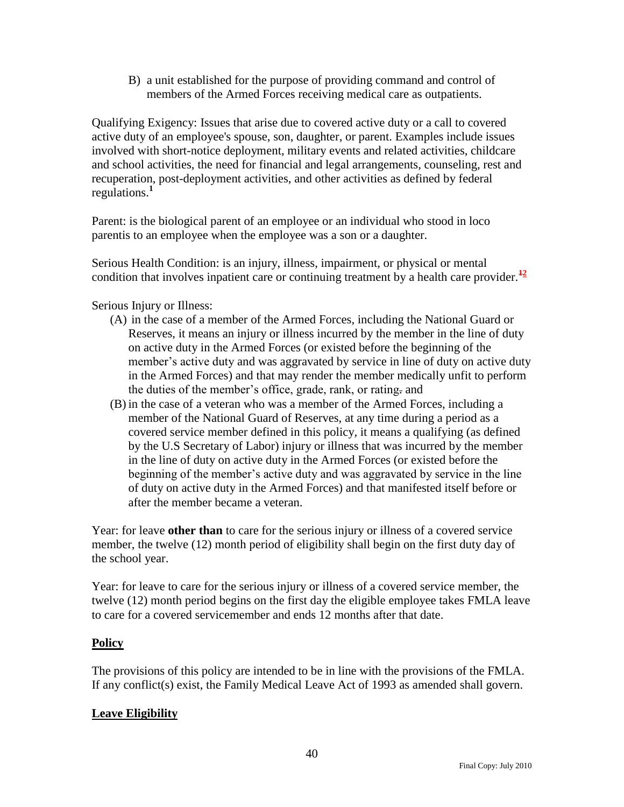B) a unit established for the purpose of providing command and control of members of the Armed Forces receiving medical care as outpatients.

Qualifying Exigency: Issues that arise due to covered active duty or a call to covered active duty of an employee's spouse, son, daughter, or parent. Examples include issues involved with short-notice deployment, military events and related activities, childcare and school activities, the need for financial and legal arrangements, counseling, rest and recuperation, post-deployment activities, and other activities as defined by federal regulations.**<sup>1</sup>**

Parent: is the biological parent of an employee or an individual who stood in loco parentis to an employee when the employee was a son or a daughter.

Serious Health Condition: is an injury, illness, impairment, or physical or mental condition that involves inpatient care or continuing treatment by a health care provider.**<sup>12</sup>**

Serious Injury or Illness:

- (A) in the case of a member of the Armed Forces, including the National Guard or Reserves, it means an injury or illness incurred by the member in the line of duty on active duty in the Armed Forces (or existed before the beginning of the member's active duty and was aggravated by service in line of duty on active duty in the Armed Forces) and that may render the member medically unfit to perform the duties of the member's office, grade, rank, or rating. and
- (B) in the case of a veteran who was a member of the Armed Forces, including a member of the National Guard of Reserves, at any time during a period as a covered service member defined in this policy, it means a qualifying (as defined by the U.S Secretary of Labor) injury or illness that was incurred by the member in the line of duty on active duty in the Armed Forces (or existed before the beginning of the member's active duty and was aggravated by service in the line of duty on active duty in the Armed Forces) and that manifested itself before or after the member became a veteran.

Year: for leave **other than** to care for the serious injury or illness of a covered service member, the twelve (12) month period of eligibility shall begin on the first duty day of the school year.

Year: for leave to care for the serious injury or illness of a covered service member, the twelve (12) month period begins on the first day the eligible employee takes FMLA leave to care for a covered servicemember and ends 12 months after that date.

### **Policy**

The provisions of this policy are intended to be in line with the provisions of the FMLA. If any conflict(s) exist, the Family Medical Leave Act of 1993 as amended shall govern.

### **Leave Eligibility**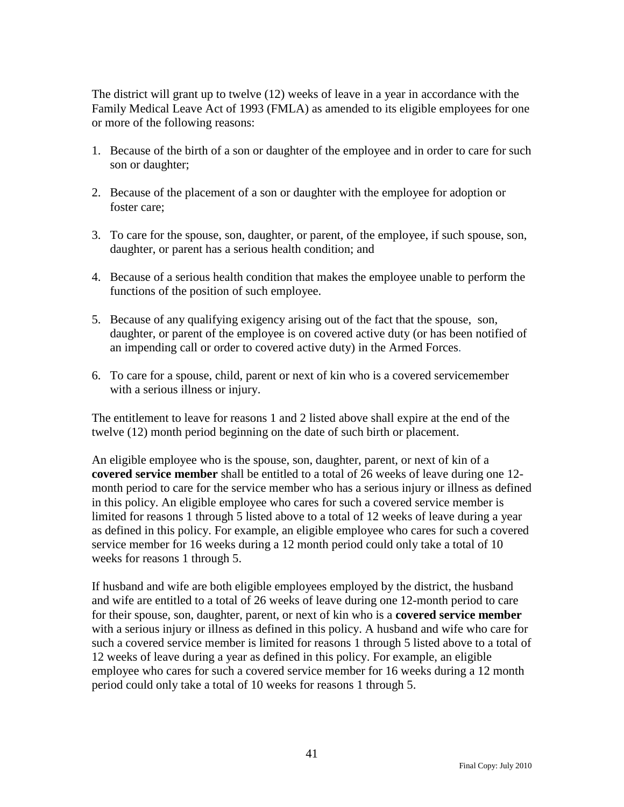The district will grant up to twelve (12) weeks of leave in a year in accordance with the Family Medical Leave Act of 1993 (FMLA) as amended to its eligible employees for one or more of the following reasons:

- 1. Because of the birth of a son or daughter of the employee and in order to care for such son or daughter;
- 2. Because of the placement of a son or daughter with the employee for adoption or foster care;
- 3. To care for the spouse, son, daughter, or parent, of the employee, if such spouse, son, daughter, or parent has a serious health condition; and
- 4. Because of a serious health condition that makes the employee unable to perform the functions of the position of such employee.
- 5. Because of any qualifying exigency arising out of the fact that the spouse, son, daughter, or parent of the employee is on covered active duty (or has been notified of an impending call or order to covered active duty) in the Armed Forces.
- 6. To care for a spouse, child, parent or next of kin who is a covered servicemember with a serious illness or injury.

The entitlement to leave for reasons 1 and 2 listed above shall expire at the end of the twelve (12) month period beginning on the date of such birth or placement.

An eligible employee who is the spouse, son, daughter, parent, or next of kin of a **covered service member** shall be entitled to a total of 26 weeks of leave during one 12 month period to care for the service member who has a serious injury or illness as defined in this policy. An eligible employee who cares for such a covered service member is limited for reasons 1 through 5 listed above to a total of 12 weeks of leave during a year as defined in this policy. For example, an eligible employee who cares for such a covered service member for 16 weeks during a 12 month period could only take a total of 10 weeks for reasons 1 through 5.

If husband and wife are both eligible employees employed by the district, the husband and wife are entitled to a total of 26 weeks of leave during one 12-month period to care for their spouse, son, daughter, parent, or next of kin who is a **covered service member** with a serious injury or illness as defined in this policy. A husband and wife who care for such a covered service member is limited for reasons 1 through 5 listed above to a total of 12 weeks of leave during a year as defined in this policy. For example, an eligible employee who cares for such a covered service member for 16 weeks during a 12 month period could only take a total of 10 weeks for reasons 1 through 5.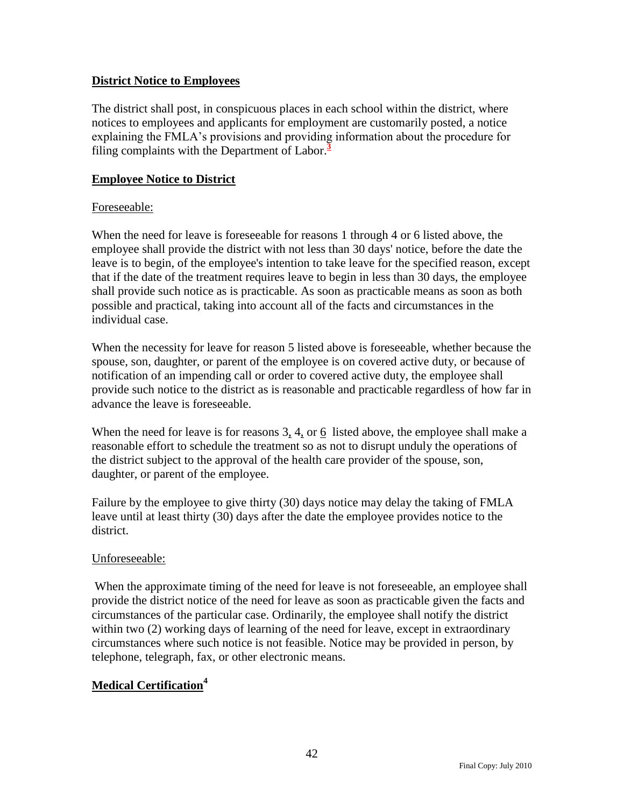### **District Notice to Employees**

The district shall post, in conspicuous places in each school within the district, where notices to employees and applicants for employment are customarily posted, a notice explaining the FMLA's provisions and providing information about the procedure for filing complaints with the Department of Labor.**<sup>3</sup>**

### **Employee Notice to District**

### Foreseeable:

When the need for leave is foreseeable for reasons 1 through 4 or 6 listed above, the employee shall provide the district with not less than 30 days' notice, before the date the leave is to begin, of the employee's intention to take leave for the specified reason, except that if the date of the treatment requires leave to begin in less than 30 days, the employee shall provide such notice as is practicable. As soon as practicable means as soon as both possible and practical, taking into account all of the facts and circumstances in the individual case.

When the necessity for leave for reason 5 listed above is foreseeable, whether because the spouse, son, daughter, or parent of the employee is on covered active duty, or because of notification of an impending call or order to covered active duty, the employee shall provide such notice to the district as is reasonable and practicable regardless of how far in advance the leave is foreseeable.

When the need for leave is for reasons 3, 4, or 6 listed above, the employee shall make a reasonable effort to schedule the treatment so as not to disrupt unduly the operations of the district subject to the approval of the health care provider of the spouse, son, daughter, or parent of the employee.

Failure by the employee to give thirty (30) days notice may delay the taking of FMLA leave until at least thirty (30) days after the date the employee provides notice to the district.

### Unforeseeable:

When the approximate timing of the need for leave is not foreseeable, an employee shall provide the district notice of the need for leave as soon as practicable given the facts and circumstances of the particular case. Ordinarily, the employee shall notify the district within two (2) working days of learning of the need for leave, except in extraordinary circumstances where such notice is not feasible. Notice may be provided in person, by telephone, telegraph, fax, or other electronic means.

### **Medical Certification<sup>4</sup>**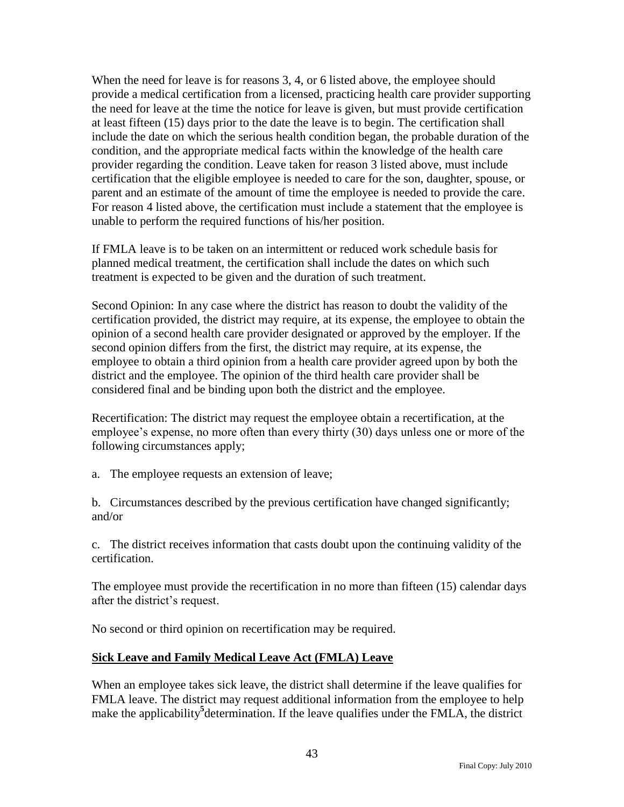When the need for leave is for reasons 3, 4, or 6 listed above, the employee should provide a medical certification from a licensed, practicing health care provider supporting the need for leave at the time the notice for leave is given, but must provide certification at least fifteen (15) days prior to the date the leave is to begin. The certification shall include the date on which the serious health condition began, the probable duration of the condition, and the appropriate medical facts within the knowledge of the health care provider regarding the condition. Leave taken for reason 3 listed above, must include certification that the eligible employee is needed to care for the son, daughter, spouse, or parent and an estimate of the amount of time the employee is needed to provide the care. For reason 4 listed above, the certification must include a statement that the employee is unable to perform the required functions of his/her position.

If FMLA leave is to be taken on an intermittent or reduced work schedule basis for planned medical treatment, the certification shall include the dates on which such treatment is expected to be given and the duration of such treatment.

Second Opinion: In any case where the district has reason to doubt the validity of the certification provided, the district may require, at its expense, the employee to obtain the opinion of a second health care provider designated or approved by the employer. If the second opinion differs from the first, the district may require, at its expense, the employee to obtain a third opinion from a health care provider agreed upon by both the district and the employee. The opinion of the third health care provider shall be considered final and be binding upon both the district and the employee.

Recertification: The district may request the employee obtain a recertification, at the employee's expense, no more often than every thirty (30) days unless one or more of the following circumstances apply;

a. The employee requests an extension of leave;

b. Circumstances described by the previous certification have changed significantly; and/or

c. The district receives information that casts doubt upon the continuing validity of the certification.

The employee must provide the recertification in no more than fifteen (15) calendar days after the district's request.

No second or third opinion on recertification may be required.

### **Sick Leave and Family Medical Leave Act (FMLA) Leave**

When an employee takes sick leave, the district shall determine if the leave qualifies for FMLA leave. The district may request additional information from the employee to help make the applicability**<sup>5</sup>** determination. If the leave qualifies under the FMLA, the district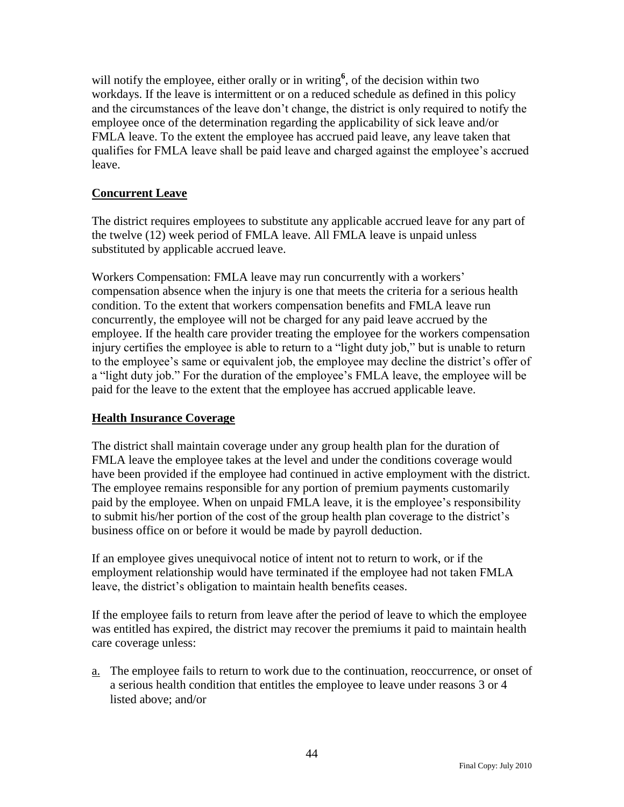will notify the employee, either orally or in writing<sup>6</sup>, of the decision within two workdays. If the leave is intermittent or on a reduced schedule as defined in this policy and the circumstances of the leave don't change, the district is only required to notify the employee once of the determination regarding the applicability of sick leave and/or FMLA leave. To the extent the employee has accrued paid leave, any leave taken that qualifies for FMLA leave shall be paid leave and charged against the employee's accrued leave.

### **Concurrent Leave**

The district requires employees to substitute any applicable accrued leave for any part of the twelve (12) week period of FMLA leave. All FMLA leave is unpaid unless substituted by applicable accrued leave.

Workers Compensation: FMLA leave may run concurrently with a workers' compensation absence when the injury is one that meets the criteria for a serious health condition. To the extent that workers compensation benefits and FMLA leave run concurrently, the employee will not be charged for any paid leave accrued by the employee. If the health care provider treating the employee for the workers compensation injury certifies the employee is able to return to a "light duty job," but is unable to return to the employee's same or equivalent job, the employee may decline the district's offer of a "light duty job." For the duration of the employee's FMLA leave, the employee will be paid for the leave to the extent that the employee has accrued applicable leave.

### **Health Insurance Coverage**

The district shall maintain coverage under any group health plan for the duration of FMLA leave the employee takes at the level and under the conditions coverage would have been provided if the employee had continued in active employment with the district. The employee remains responsible for any portion of premium payments customarily paid by the employee. When on unpaid FMLA leave, it is the employee's responsibility to submit his/her portion of the cost of the group health plan coverage to the district's business office on or before it would be made by payroll deduction.

If an employee gives unequivocal notice of intent not to return to work, or if the employment relationship would have terminated if the employee had not taken FMLA leave, the district's obligation to maintain health benefits ceases.

If the employee fails to return from leave after the period of leave to which the employee was entitled has expired, the district may recover the premiums it paid to maintain health care coverage unless:

a. The employee fails to return to work due to the continuation, reoccurrence, or onset of a serious health condition that entitles the employee to leave under reasons 3 or 4 listed above; and/or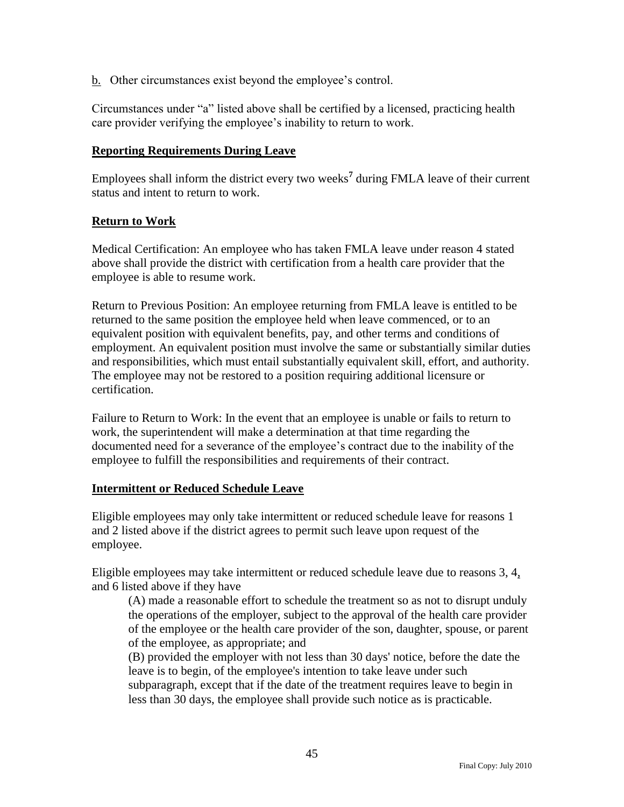b. Other circumstances exist beyond the employee's control.

Circumstances under "a" listed above shall be certified by a licensed, practicing health care provider verifying the employee's inability to return to work.

#### **Reporting Requirements During Leave**

Employees shall inform the district every two weeks**<sup>7</sup>** during FMLA leave of their current status and intent to return to work.

#### **Return to Work**

Medical Certification: An employee who has taken FMLA leave under reason 4 stated above shall provide the district with certification from a health care provider that the employee is able to resume work.

Return to Previous Position: An employee returning from FMLA leave is entitled to be returned to the same position the employee held when leave commenced, or to an equivalent position with equivalent benefits, pay, and other terms and conditions of employment. An equivalent position must involve the same or substantially similar duties and responsibilities, which must entail substantially equivalent skill, effort, and authority. The employee may not be restored to a position requiring additional licensure or certification.

Failure to Return to Work: In the event that an employee is unable or fails to return to work, the superintendent will make a determination at that time regarding the documented need for a severance of the employee's contract due to the inability of the employee to fulfill the responsibilities and requirements of their contract.

#### **Intermittent or Reduced Schedule Leave**

Eligible employees may only take intermittent or reduced schedule leave for reasons 1 and 2 listed above if the district agrees to permit such leave upon request of the employee.

Eligible employees may take intermittent or reduced schedule leave due to reasons 3, 4, and 6 listed above if they have

(A) made a reasonable effort to schedule the treatment so as not to disrupt unduly the operations of the employer, subject to the approval of the health care provider of the employee or the health care provider of the son, daughter, spouse, or parent of the employee, as appropriate; and

(B) provided the employer with not less than 30 days' notice, before the date the leave is to begin, of the employee's intention to take leave under such

subparagraph, except that if the date of the treatment requires leave to begin in less than 30 days, the employee shall provide such notice as is practicable.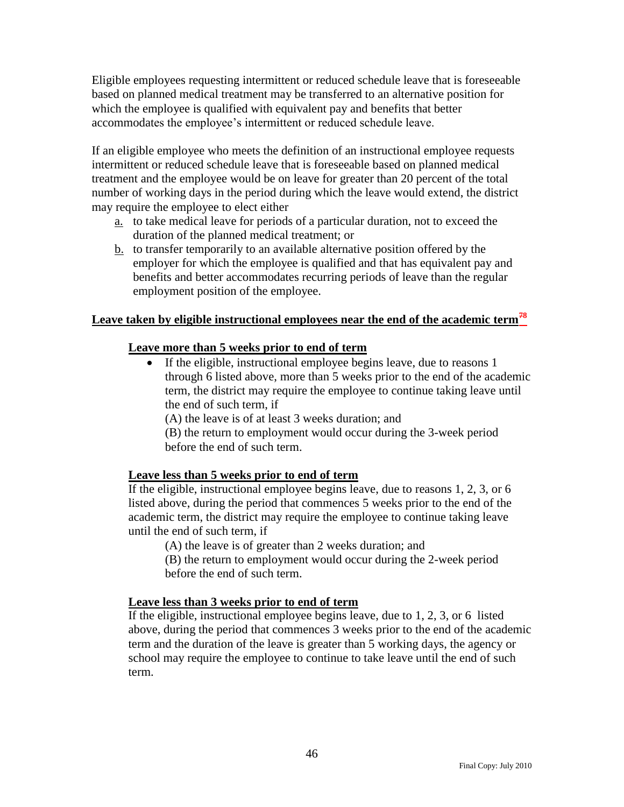Eligible employees requesting intermittent or reduced schedule leave that is foreseeable based on planned medical treatment may be transferred to an alternative position for which the employee is qualified with equivalent pay and benefits that better accommodates the employee's intermittent or reduced schedule leave.

If an eligible employee who meets the definition of an instructional employee requests intermittent or reduced schedule leave that is foreseeable based on planned medical treatment and the employee would be on leave for greater than 20 percent of the total number of working days in the period during which the leave would extend, the district may require the employee to elect either

- a. to take medical leave for periods of a particular duration, not to exceed the duration of the planned medical treatment; or
- b. to transfer temporarily to an available alternative position offered by the employer for which the employee is qualified and that has equivalent pay and benefits and better accommodates recurring periods of leave than the regular employment position of the employee.

### **Leave taken by eligible instructional employees near the end of the academic term<sup>78</sup>**

#### **Leave more than 5 weeks prior to end of term**

- If the eligible, instructional employee begins leave, due to reasons 1 through 6 listed above, more than 5 weeks prior to the end of the academic term, the district may require the employee to continue taking leave until the end of such term, if
	- (A) the leave is of at least 3 weeks duration; and
	- (B) the return to employment would occur during the 3-week period before the end of such term.

#### **Leave less than 5 weeks prior to end of term**

If the eligible, instructional employee begins leave, due to reasons 1, 2, 3, or 6 listed above, during the period that commences 5 weeks prior to the end of the academic term, the district may require the employee to continue taking leave until the end of such term, if

(A) the leave is of greater than 2 weeks duration; and

(B) the return to employment would occur during the 2-week period before the end of such term.

#### **Leave less than 3 weeks prior to end of term**

If the eligible, instructional employee begins leave, due to 1, 2, 3, or 6 listed above, during the period that commences 3 weeks prior to the end of the academic term and the duration of the leave is greater than 5 working days, the agency or school may require the employee to continue to take leave until the end of such term.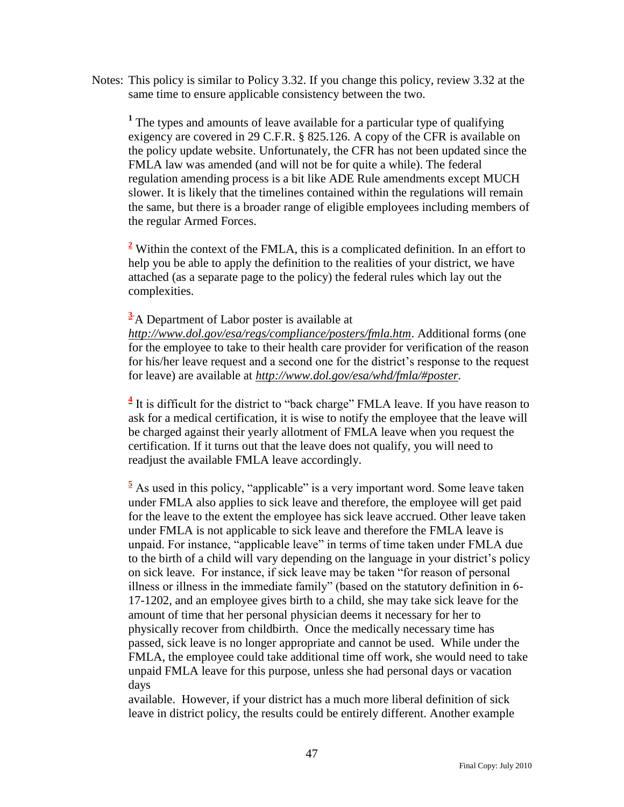Notes: This policy is similar to Policy 3.32. If you change this policy, review 3.32 at the same time to ensure applicable consistency between the two.

<sup>1</sup> The types and amounts of leave available for a particular type of qualifying exigency are covered in 29 C.F.R. § 825.126. A copy of the CFR is available on the policy update website. Unfortunately, the CFR has not been updated since the FMLA law was amended (and will not be for quite a while). The federal regulation amending process is a bit like ADE Rule amendments except MUCH slower. It is likely that the timelines contained within the regulations will remain the same, but there is a broader range of eligible employees including members of the regular Armed Forces.

**<sup>2</sup>** Within the context of the FMLA, this is a complicated definition. In an effort to help you be able to apply the definition to the realities of your district, we have attached (as a separate page to the policy) the federal rules which lay out the complexities.

### **<sup>3</sup>** A Department of Labor poster is available at

*<http://www.dol.gov/esa/regs/compliance/posters/fmla.htm>*. Additional forms (one for the employee to take to their health care provider for verification of the reason for his/her leave request and a second one for the district's response to the request for leave) are available at *[http://www.dol.gov/esa/whd/fmla/#poster.](http://www.dol.gov/esa/whd/fmla/#poster)*

 $4$  It is difficult for the district to "back charge" FMLA leave. If you have reason to ask for a medical certification, it is wise to notify the employee that the leave will be charged against their yearly allotment of FMLA leave when you request the certification. If it turns out that the leave does not qualify, you will need to readjust the available FMLA leave accordingly.

 $\frac{5}{5}$  As used in this policy, "applicable" is a very important word. Some leave taken under FMLA also applies to sick leave and therefore, the employee will get paid for the leave to the extent the employee has sick leave accrued. Other leave taken under FMLA is not applicable to sick leave and therefore the FMLA leave is unpaid. For instance, "applicable leave" in terms of time taken under FMLA due to the birth of a child will vary depending on the language in your district's policy on sick leave. For instance, if sick leave may be taken "for reason of personal illness or illness in the immediate family" (based on the statutory definition in 6-17-1202, and an employee gives birth to a child, she may take sick leave for the amount of time that her personal physician deems it necessary for her to physically recover from childbirth. Once the medically necessary time has passed, sick leave is no longer appropriate and cannot be used. While under the FMLA, the employee could take additional time off work, she would need to take unpaid FMLA leave for this purpose, unless she had personal days or vacation days

available. However, if your district has a much more liberal definition of sick leave in district policy, the results could be entirely different. Another example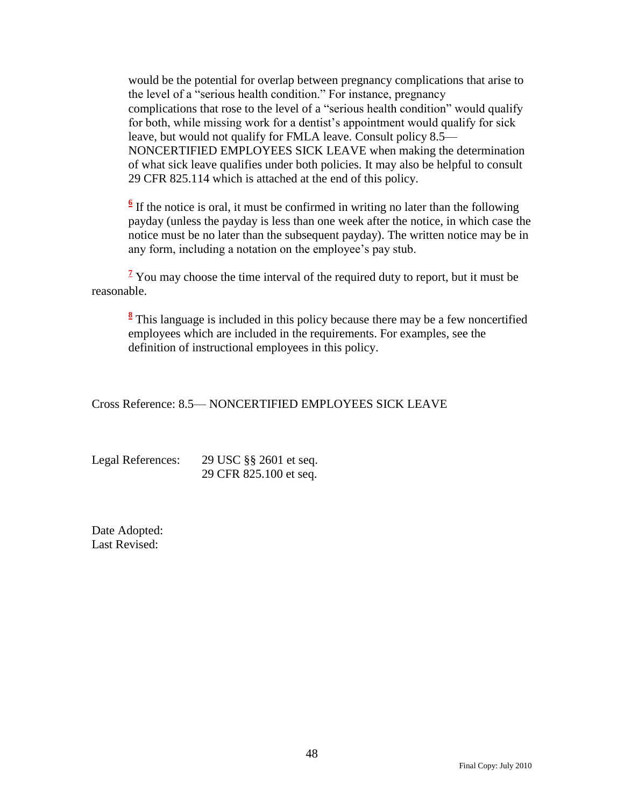would be the potential for overlap between pregnancy complications that arise to the level of a "serious health condition." For instance, pregnancy complications that rose to the level of a "serious health condition" would qualify for both, while missing work for a dentist's appointment would qualify for sick leave, but would not qualify for FMLA leave. Consult policy 8.5— NONCERTIFIED EMPLOYEES SICK LEAVE when making the determination of what sick leave qualifies under both policies. It may also be helpful to consult 29 CFR 825.114 which is attached at the end of this policy.

 $\frac{6}{6}$  If the notice is oral, it must be confirmed in writing no later than the following payday (unless the payday is less than one week after the notice, in which case the notice must be no later than the subsequent payday). The written notice may be in any form, including a notation on the employee's pay stub.

<sup>7</sup> You may choose the time interval of the required duty to report, but it must be reasonable.

**8** This language is included in this policy because there may be a few noncertified employees which are included in the requirements. For examples, see the definition of instructional employees in this policy.

Cross Reference: 8.5— NONCERTIFIED EMPLOYEES SICK LEAVE

| Legal References: | 29 USC §§ 2601 et seq. |
|-------------------|------------------------|
|                   | 29 CFR 825.100 et seq. |

Date Adopted: Last Revised: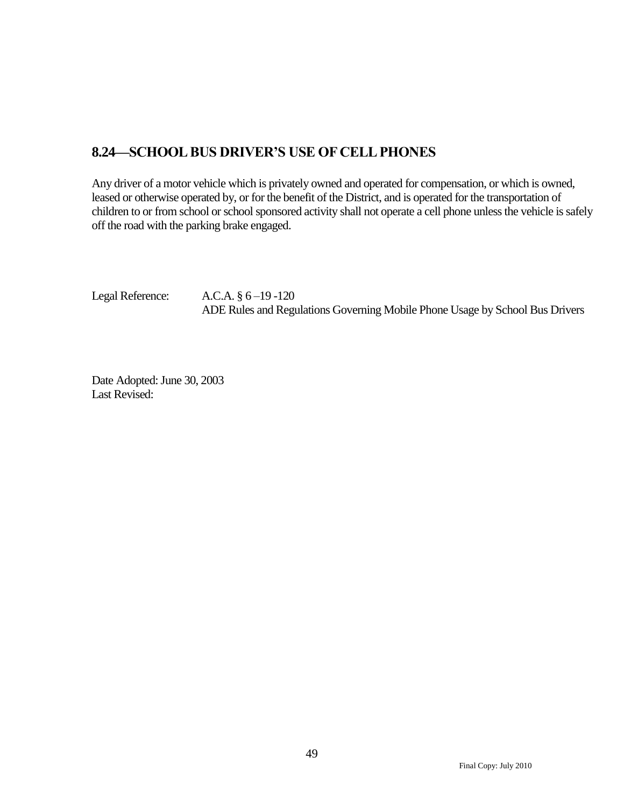### <span id="page-50-0"></span>**8.24—SCHOOL BUS DRIVER'S USE OF CELL PHONES**

Any driver of a motor vehicle which is privately owned and operated for compensation, or which is owned, leased or otherwise operated by, or for the benefit of the District, and is operated for the transportation of children to or from school or school sponsored activity shall not operate a cell phone unless the vehicle is safely off the road with the parking brake engaged.

Legal Reference: A.C.A. § 6-19-120 ADE Rules and Regulations Governing Mobile Phone Usage by School Bus Drivers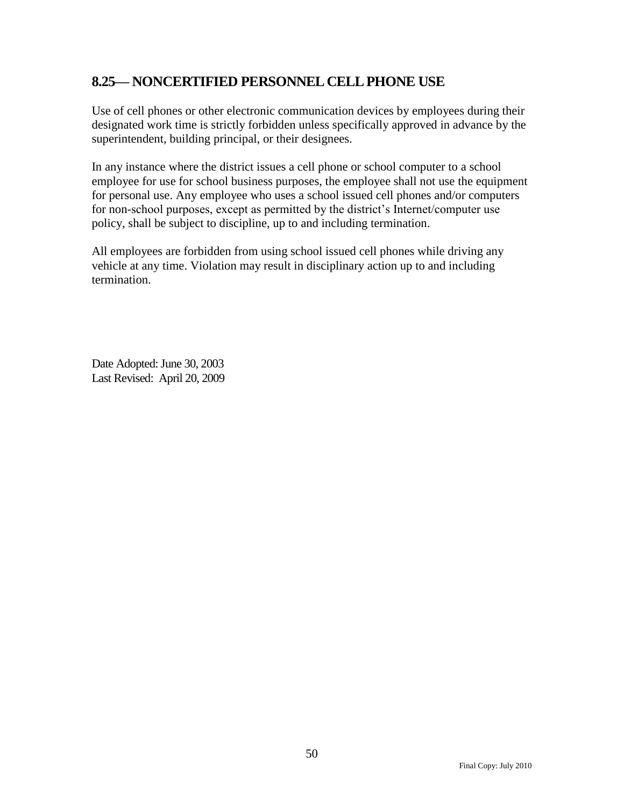### <span id="page-51-0"></span>**8.25— NONCERTIFIED PERSONNEL CELL PHONE USE**

Use of cell phones or other electronic communication devices by employees during their designated work time is strictly forbidden unless specifically approved in advance by the superintendent, building principal, or their designees.

In any instance where the district issues a cell phone or school computer to a school employee for use for school business purposes, the employee shall not use the equipment for personal use. Any employee who uses a school issued cell phones and/or computers for non-school purposes, except as permitted by the district's Internet/computer use policy, shall be subject to discipline, up to and including termination.

All employees are forbidden from using school issued cell phones while driving any vehicle at any time. Violation may result in disciplinary action up to and including termination.

Date Adopted: June 30, 2003 Last Revised: April 20, 2009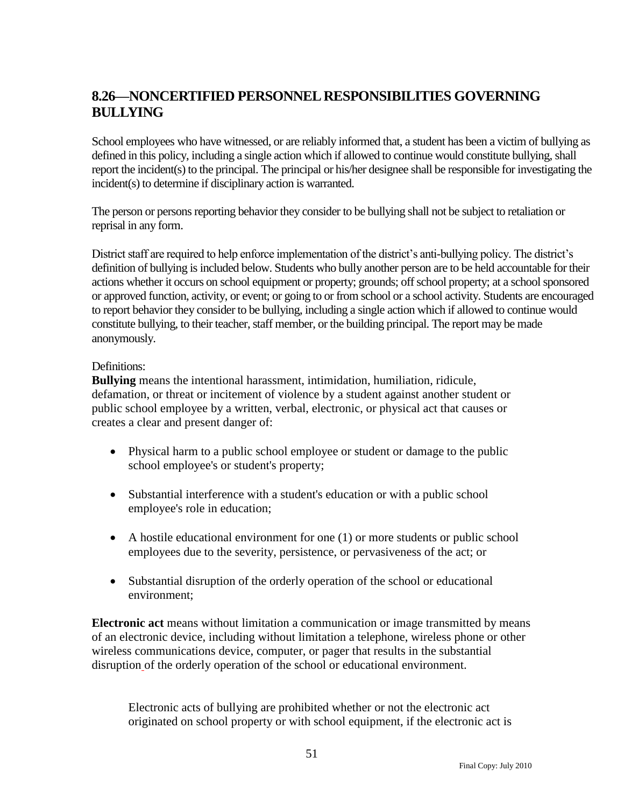## <span id="page-52-0"></span>**8.26—NONCERTIFIED PERSONNEL RESPONSIBILITIES GOVERNING BULLYING**

School employees who have witnessed, or are reliably informed that, a student has been a victim of bullying as defined in this policy, including a single action which if allowed to continue would constitute bullying, shall report the incident(s) to the principal. The principal or his/her designee shall be responsible for investigating the incident(s) to determine if disciplinary action is warranted.

The person or persons reporting behavior they consider to be bullying shall not be subject to retaliation or reprisal in any form.

District staff are required to help enforce implementation of the district's anti-bullying policy. The district's definition of bullying is included below. Students who bully another person are to be held accountable for their actions whether it occurs on school equipment or property; grounds; off school property; at a school sponsored or approved function, activity, or event; or going to or from school or a school activity. Students are encouraged to report behavior they consider to be bullying, including a single action which if allowed to continue would constitute bullying, to their teacher, staff member, or the building principal. The report may be made anonymously.

#### Definitions:

**Bullying** means the intentional harassment, intimidation, humiliation, ridicule, defamation, or threat or incitement of violence by a student against another student or public school employee by a written, verbal, electronic, or physical act that causes or creates a clear and present danger of:

- Physical harm to a public school employee or student or damage to the public school employee's or student's property;
- Substantial interference with a student's education or with a public school employee's role in education;
- A hostile educational environment for one (1) or more students or public school employees due to the severity, persistence, or pervasiveness of the act; or
- Substantial disruption of the orderly operation of the school or educational environment;

**Electronic act** means without limitation a communication or image transmitted by means of an electronic device, including without limitation a telephone, wireless phone or other wireless communications device, computer, or pager that results in the substantial disruption of the orderly operation of the school or educational environment.

Electronic acts of bullying are prohibited whether or not the electronic act originated on school property or with school equipment, if the electronic act is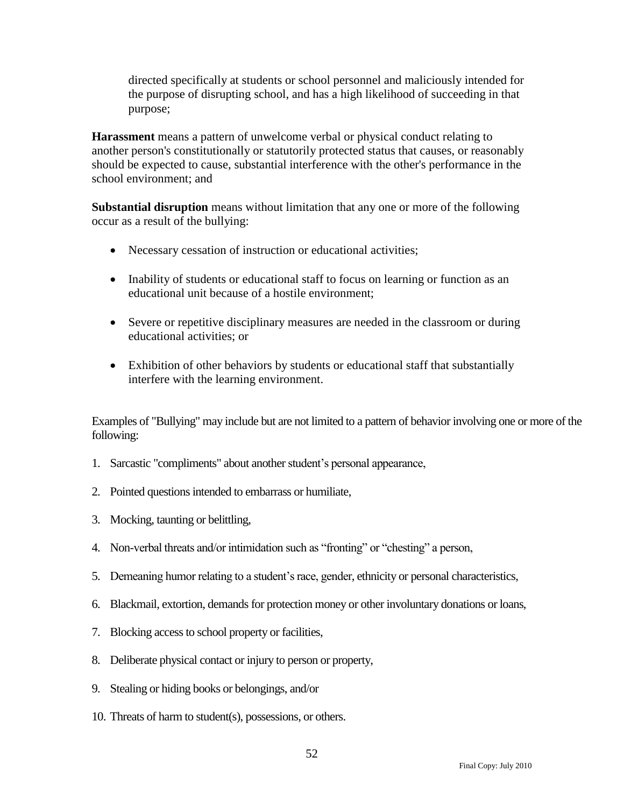directed specifically at students or school personnel and maliciously intended for the purpose of disrupting school, and has a high likelihood of succeeding in that purpose;

**Harassment** means a pattern of unwelcome verbal or physical conduct relating to another person's constitutionally or statutorily protected status that causes, or reasonably should be expected to cause, substantial interference with the other's performance in the school environment; and

**Substantial disruption** means without limitation that any one or more of the following occur as a result of the bullying:

- Necessary cessation of instruction or educational activities;
- Inability of students or educational staff to focus on learning or function as an educational unit because of a hostile environment;
- Severe or repetitive disciplinary measures are needed in the classroom or during educational activities; or
- Exhibition of other behaviors by students or educational staff that substantially interfere with the learning environment.

Examples of "Bullying" may include but are not limited to a pattern of behavior involving one or more of the following:

- 1. Sarcastic "compliments" about another student's personal appearance,
- 2. Pointed questions intended to embarrass or humiliate,
- 3. Mocking, taunting or belittling,
- 4. Non-verbal threats and/or intimidation such as "fronting" or "chesting" a person,
- 5. Demeaning humor relating to a student's race, gender, ethnicity or personal characteristics,
- 6. Blackmail, extortion, demands for protection money or other involuntary donations or loans,
- 7. Blocking access to school property or facilities,
- 8. Deliberate physical contact or injury to person or property,
- 9. Stealing or hiding books or belongings, and/or
- 10. Threats of harm to student(s), possessions, or others.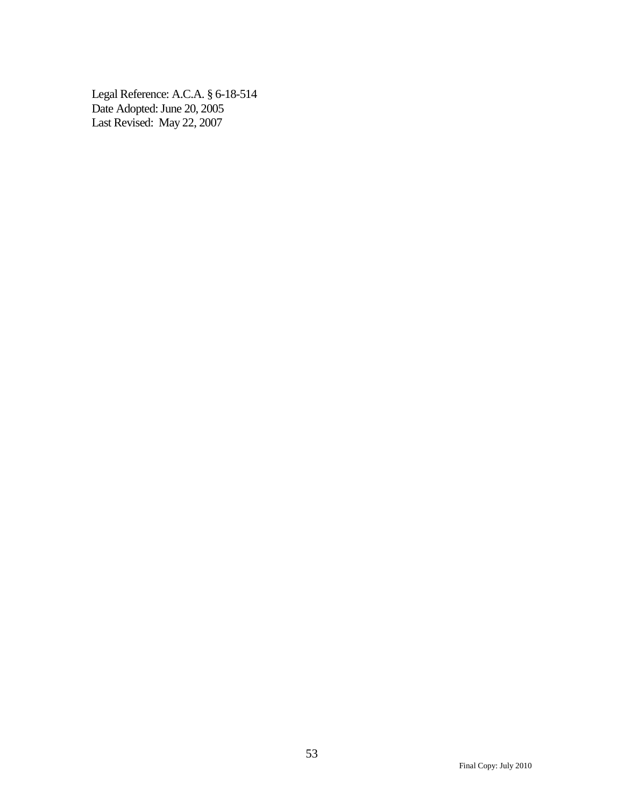Legal Reference: A.C.A. § 6-18-514 Date Adopted: June 20, 2005 Last Revised: May 22, 2007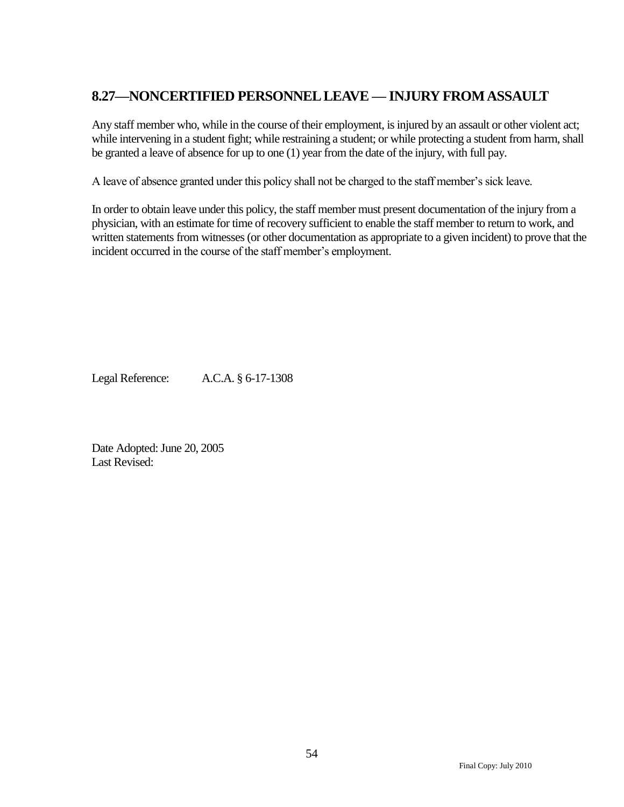## <span id="page-55-0"></span>**8.27—NONCERTIFIED PERSONNEL LEAVE — INJURY FROMASSAULT**

Any staff member who, while in the course of their employment, is injured by an assault or other violent act; while intervening in a student fight; while restraining a student; or while protecting a student from harm, shall be granted a leave of absence for up to one (1) year from the date of the injury, with full pay.

A leave of absence granted under this policy shall not be charged to the staff member's sick leave.

In order to obtain leave under this policy, the staff member must present documentation of the injury from a physician, with an estimate for time of recovery sufficient to enable the staff member to return to work, and written statements from witnesses (or other documentation as appropriate to a given incident) to prove that the incident occurred in the course of the staff member's employment.

Legal Reference: A.C.A. § 6-17-1308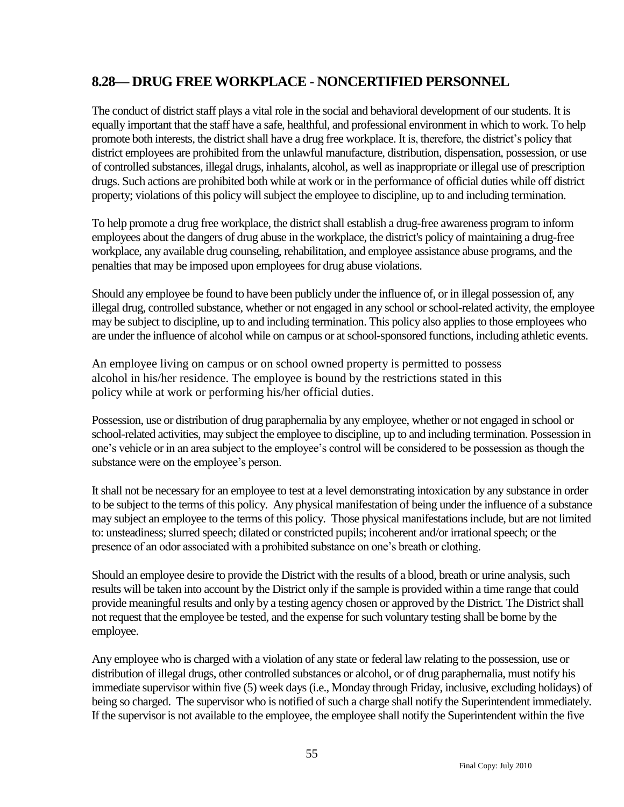### <span id="page-56-0"></span>**8.28— DRUG FREE WORKPLACE - NONCERTIFIED PERSONNEL**

The conduct of district staff plays a vital role in the social and behavioral development of our students. It is equally important that the staff have a safe, healthful, and professional environment in which to work. To help promote both interests, the district shall have a drug free workplace. It is, therefore, the district's policy that district employees are prohibited from the unlawful manufacture, distribution, dispensation, possession, or use of controlled substances, illegal drugs, inhalants, alcohol, as well as inappropriate or illegal use of prescription drugs. Such actions are prohibited both while at work or in the performance of official duties while off district property; violations of this policy will subject the employee to discipline, up to and including termination.

To help promote a drug free workplace, the district shall establish a drug-free awareness program to inform employees about the dangers of drug abuse in the workplace, the district's policy of maintaining a drug-free workplace, any available drug counseling, rehabilitation, and employee assistance abuse programs, and the penalties that may be imposed upon employees for drug abuse violations.

Should any employee be found to have been publicly under the influence of, or in illegal possession of, any illegal drug, controlled substance, whether or not engaged in any school or school-related activity, the employee may be subject to discipline, up to and including termination. This policy also applies to those employees who are under the influence of alcohol while on campus or at school-sponsored functions, including athletic events.

An employee living on campus or on school owned property is permitted to possess alcohol in his/her residence. The employee is bound by the restrictions stated in this policy while at work or performing his/her official duties.

Possession, use or distribution of drug paraphernalia by any employee, whether or not engaged in school or school-related activities, may subject the employee to discipline, up to and including termination. Possession in one's vehicle or in an area subject to the employee's control will be considered to be possession as though the substance were on the employee's person.

It shall not be necessary for an employee to test at a level demonstrating intoxication by any substance in order to be subject to the terms of this policy. Any physical manifestation of being under the influence of a substance may subject an employee to the terms of this policy. Those physical manifestations include, but are not limited to: unsteadiness; slurred speech; dilated or constricted pupils; incoherent and/or irrational speech; or the presence of an odor associated with a prohibited substance on one's breath or clothing.

Should an employee desire to provide the District with the results of a blood, breath or urine analysis, such results will be taken into account by the District only if the sample is provided within a time range that could provide meaningful results and only by a testing agency chosen or approved by the District. The District shall not request that the employee be tested, and the expense for such voluntary testing shall be borne by the employee.

Any employee who is charged with a violation of any state or federal law relating to the possession, use or distribution of illegal drugs, other controlled substances or alcohol, or of drug paraphernalia, must notify his immediate supervisor within five (5) week days (i.e., Monday through Friday, inclusive, excluding holidays) of being so charged. The supervisor who is notified of such a charge shall notify the Superintendent immediately. If the supervisor is not available to the employee, the employee shall notify the Superintendent within the five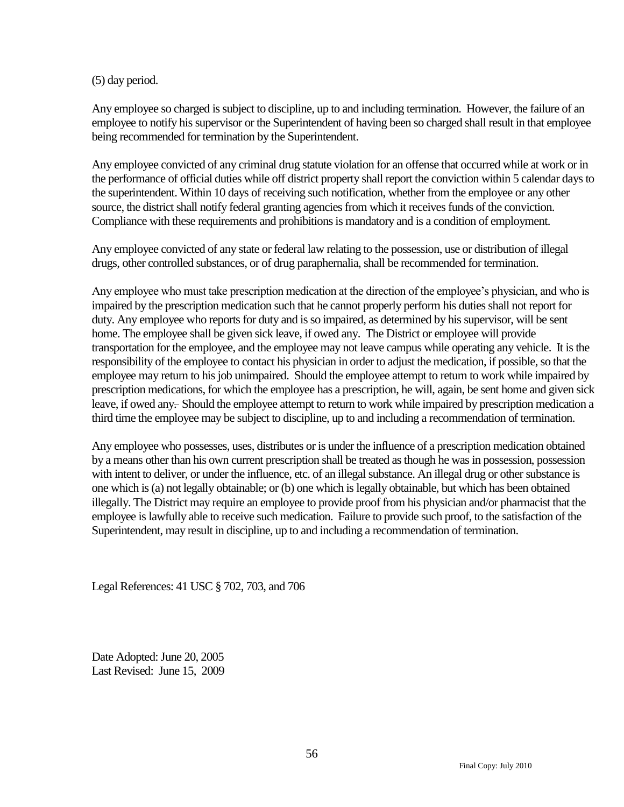#### (5) day period.

Any employee so charged is subject to discipline, up to and including termination. However, the failure of an employee to notify his supervisor or the Superintendent of having been so charged shall result in that employee being recommended for termination by the Superintendent.

Any employee convicted of any criminal drug statute violation for an offense that occurred while at work or in the performance of official duties while off district property shall report the conviction within 5 calendar days to the superintendent. Within 10 days of receiving such notification, whether from the employee or any other source, the district shall notify federal granting agencies from which it receives funds of the conviction. Compliance with these requirements and prohibitions is mandatory and is a condition of employment.

Any employee convicted of any state or federal law relating to the possession, use or distribution of illegal drugs, other controlled substances, or of drug paraphernalia, shall be recommended for termination.

Any employee who must take prescription medication at the direction of the employee's physician, and who is impaired by the prescription medication such that he cannot properly perform his duties shall not report for duty. Any employee who reports for duty and is so impaired, as determined by his supervisor, will be sent home. The employee shall be given sick leave, if owed any. The District or employee will provide transportation for the employee, and the employee may not leave campus while operating any vehicle. It is the responsibility of the employee to contact his physician in order to adjust the medication, if possible, so that the employee may return to his job unimpaired. Should the employee attempt to return to work while impaired by prescription medications, for which the employee has a prescription, he will, again, be sent home and given sick leave, if owed any-Should the employee attempt to return to work while impaired by prescription medication a third time the employee may be subject to discipline, up to and including a recommendation of termination.

Any employee who possesses, uses, distributes or is under the influence of a prescription medication obtained by a means other than his own current prescription shall be treated as though he was in possession, possession with intent to deliver, or under the influence, etc. of an illegal substance. An illegal drug or other substance is one which is (a) not legally obtainable; or (b) one which is legally obtainable, but which has been obtained illegally. The District may require an employee to provide proof from his physician and/or pharmacist that the employee is lawfully able to receive such medication. Failure to provide such proof, to the satisfaction of the Superintendent, may result in discipline, up to and including a recommendation of termination.

Legal References: 41 USC § 702, 703, and 706

Date Adopted: June 20, 2005 Last Revised: June 15, 2009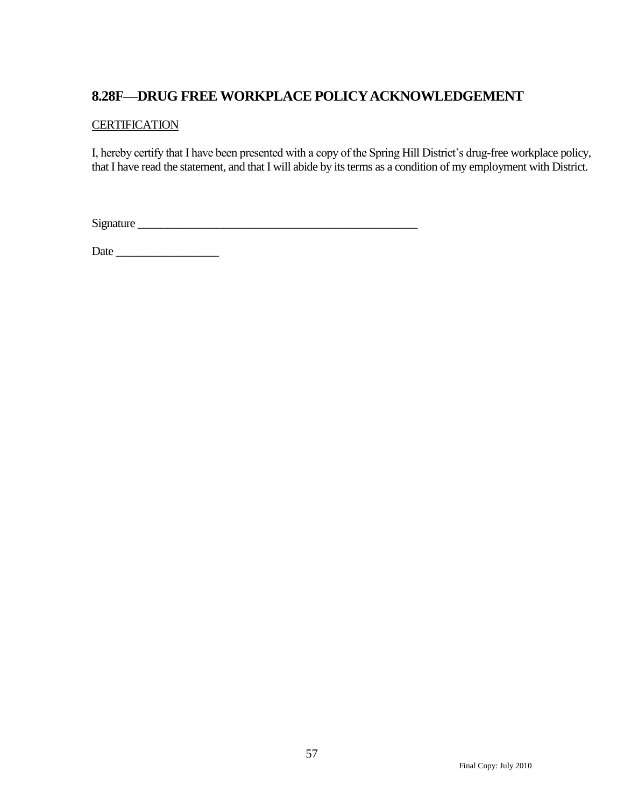### <span id="page-58-0"></span>**8.28F—DRUG FREE WORKPLACE POLICY ACKNOWLEDGEMENT**

#### **CERTIFICATION**

I, hereby certify that I have been presented with a copy of the Spring Hill District's drug-free workplace policy, that I have read the statement, and that I will abide by its terms as a condition of my employment with District.

Signature \_\_\_\_\_\_\_\_\_\_\_\_\_\_\_\_\_\_\_\_\_\_\_\_\_\_\_\_\_\_\_\_\_\_\_\_\_\_\_\_\_\_\_\_\_\_\_\_\_

Date \_\_\_\_\_\_\_\_\_\_\_\_\_\_\_\_\_\_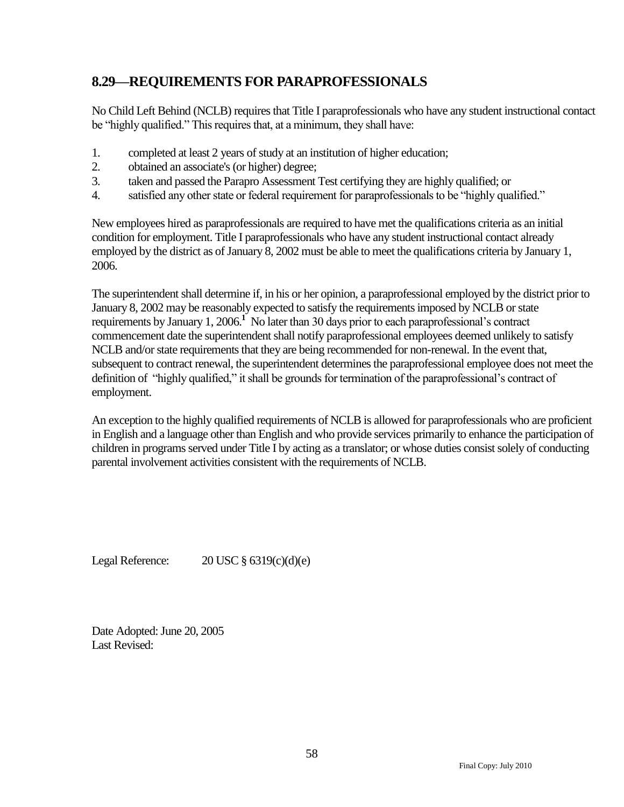### <span id="page-59-0"></span>**8.29—REQUIREMENTS FOR PARAPROFESSIONALS**

No Child Left Behind (NCLB) requires that Title I paraprofessionals who have any student instructional contact be "highly qualified." This requires that, at a minimum, they shall have:

- 1. completed at least 2 years of study at an institution of higher education;
- 2. obtained an associate's (or higher) degree;
- 3. taken and passed the Parapro Assessment Test certifying they are highly qualified; or
- 4. satisfied any other state or federal requirement for paraprofessionals to be "highly qualified."

New employees hired as paraprofessionals are required to have met the qualifications criteria as an initial condition for employment. Title I paraprofessionals who have any student instructional contact already employed by the district as of January 8, 2002 must be able to meet the qualifications criteria by January 1, 2006.

The superintendent shall determine if, in his or her opinion, a paraprofessional employed by the district prior to January 8, 2002 may be reasonably expected to satisfy the requirements imposed by NCLB or state requirements by January 1, 2006.**<sup>1</sup>** No later than 30 days prior to each paraprofessional's contract commencement date the superintendent shall notify paraprofessional employees deemed unlikely to satisfy NCLB and/or state requirements that they are being recommended for non-renewal. In the event that, subsequent to contract renewal, the superintendent determines the paraprofessional employee does not meet the definition of "highly qualified," it shall be grounds for termination of the paraprofessional's contract of employment.

An exception to the highly qualified requirements of NCLB is allowed for paraprofessionals who are proficient in English and a language other than English and who provide services primarily to enhance the participation of children in programs served under Title I by acting as a translator; or whose duties consist solely of conducting parental involvement activities consistent with the requirements of NCLB.

Legal Reference:  $20 \text{ USC} \text{ } \text{\&} 6319(c)(d)(e)$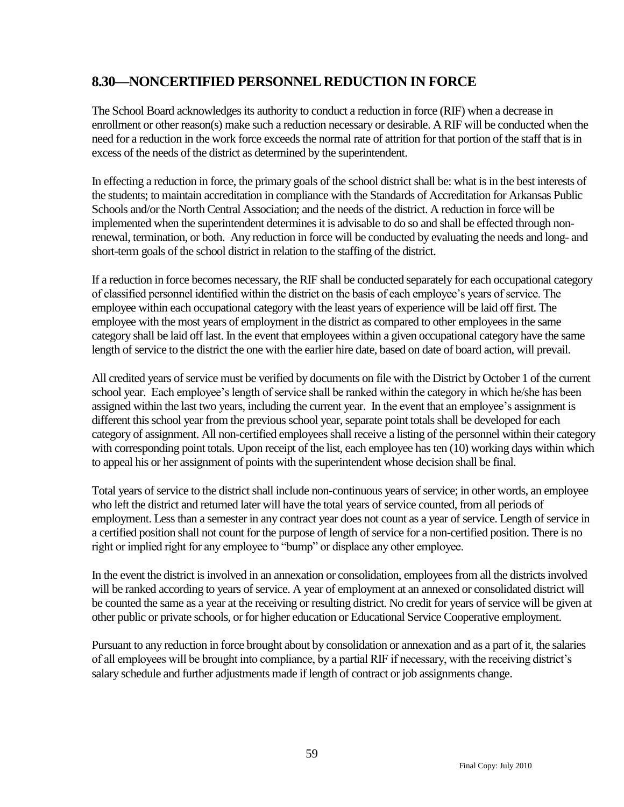### <span id="page-60-0"></span>**8.30—NONCERTIFIED PERSONNEL REDUCTION IN FORCE**

The School Board acknowledges its authority to conduct a reduction in force (RIF) when a decrease in enrollment or other reason(s) make such a reduction necessary or desirable. A RIF will be conducted when the need for a reduction in the work force exceeds the normal rate of attrition for that portion of the staff that is in excess of the needs of the district as determined by the superintendent.

In effecting a reduction in force, the primary goals of the school district shall be: what is in the best interests of the students; to maintain accreditation in compliance with the Standards of Accreditation for Arkansas Public Schools and/or the North Central Association; and the needs of the district. A reduction in force will be implemented when the superintendent determines it is advisable to do so and shall be effected through nonrenewal, termination, or both. Any reduction in force will be conducted by evaluating the needs and long- and short-term goals of the school district in relation to the staffing of the district.

If a reduction in force becomes necessary, the RIF shall be conducted separately for each occupational category of classified personnel identified within the district on the basis of each employee's years of service. The employee within each occupational category with the least years of experience will be laid off first. The employee with the most years of employment in the district as compared to other employees in the same category shall be laid off last. In the event that employees within a given occupational category have the same length of service to the district the one with the earlier hire date, based on date of board action, will prevail.

All credited years of service must be verified by documents on file with the District by October 1 of the current school year. Each employee's length of service shall be ranked within the category in which he/she has been assigned within the last two years, including the current year. In the event that an employee's assignment is different this school year from the previous school year, separate point totals shall be developed for each category of assignment. All non-certified employees shall receive a listing of the personnel within their category with corresponding point totals. Upon receipt of the list, each employee has ten (10) working days within which to appeal his or her assignment of points with the superintendent whose decision shall be final.

Total years of service to the district shall include non-continuous years of service; in other words, an employee who left the district and returned later will have the total years of service counted, from all periods of employment. Less than a semester in any contract year does not count as a year of service. Length of service in a certified position shall not count for the purpose of length of service for a non-certified position. There is no right or implied right for any employee to "bump" or displace any other employee.

In the event the district is involved in an annexation or consolidation, employees from all the districts involved will be ranked according to years of service. A year of employment at an annexed or consolidated district will be counted the same as a year at the receiving or resulting district. No credit for years of service will be given at other public or private schools, or for higher education or Educational Service Cooperative employment.

Pursuant to any reduction in force brought about by consolidation or annexation and as a part of it, the salaries of all employees will be brought into compliance, by a partial RIF if necessary, with the receiving district's salary schedule and further adjustments made if length of contract or job assignments change.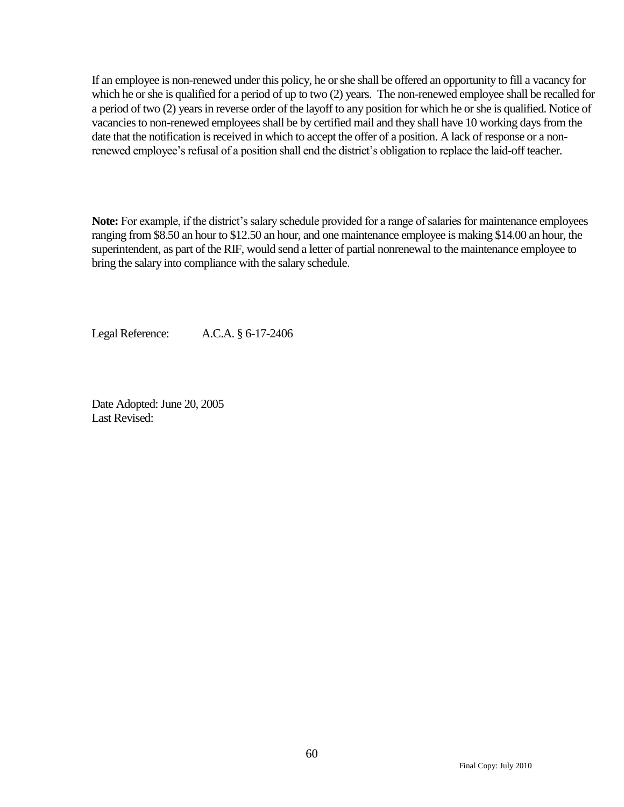If an employee is non-renewed under this policy, he or she shall be offered an opportunity to fill a vacancy for which he or she is qualified for a period of up to two (2) years. The non-renewed employee shall be recalled for a period of two (2) years in reverse order of the layoff to any position for which he or she is qualified. Notice of vacancies to non-renewed employees shall be by certified mail and they shall have 10 working days from the date that the notification is received in which to accept the offer of a position. A lack of response or a nonrenewed employee's refusal of a position shall end the district's obligation to replace the laid-off teacher.

**Note:** For example, if the district's salary schedule provided for a range of salaries for maintenance employees ranging from \$8.50 an hour to \$12.50 an hour, and one maintenance employee is making \$14.00 an hour, the superintendent, as part of the RIF, would send a letter of partial nonrenewal to the maintenance employee to bring the salary into compliance with the salary schedule.

Legal Reference: A.C.A. § 6-17-2406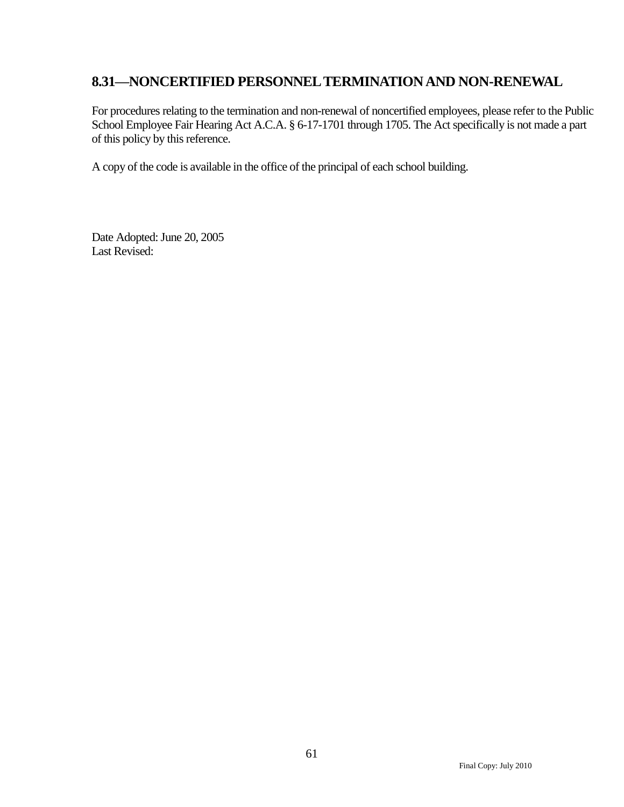### <span id="page-62-0"></span>**8.31—NONCERTIFIED PERSONNEL TERMINATION AND NON-RENEWAL**

For procedures relating to the termination and non-renewal of noncertified employees, please refer to the Public School Employee Fair Hearing Act A.C.A. § 6-17-1701 through 1705. The Act specifically is not made a part of this policy by this reference.

A copy of the code is available in the office of the principal of each school building.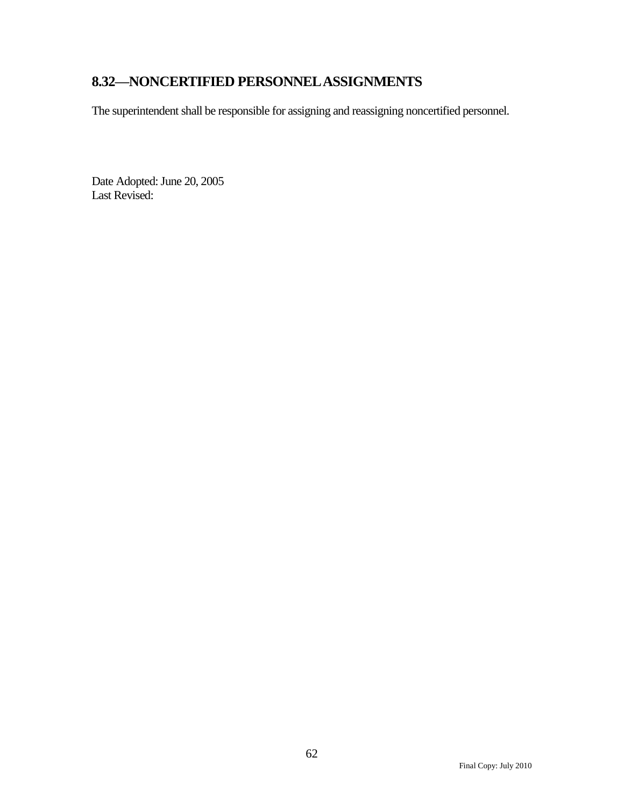# <span id="page-63-0"></span>**8.32—NONCERTIFIED PERSONNEL ASSIGNMENTS**

The superintendent shall be responsible for assigning and reassigning noncertified personnel.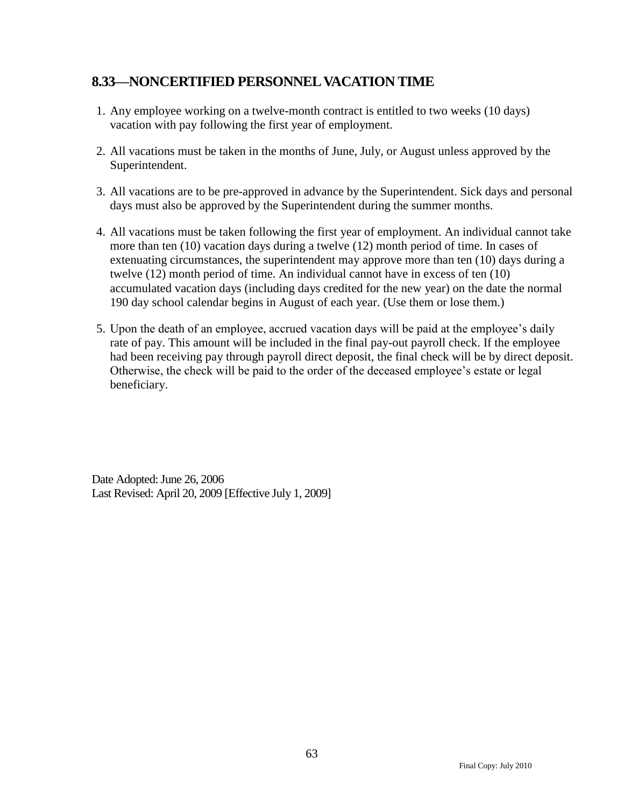### <span id="page-64-0"></span>**8.33—NONCERTIFIED PERSONNEL VACATION TIME**

- 1. Any employee working on a twelve-month contract is entitled to two weeks (10 days) vacation with pay following the first year of employment.
- 2. All vacations must be taken in the months of June, July, or August unless approved by the Superintendent.
- 3. All vacations are to be pre-approved in advance by the Superintendent. Sick days and personal days must also be approved by the Superintendent during the summer months.
- 4. All vacations must be taken following the first year of employment. An individual cannot take more than ten (10) vacation days during a twelve (12) month period of time. In cases of extenuating circumstances, the superintendent may approve more than ten (10) days during a twelve (12) month period of time. An individual cannot have in excess of ten (10) accumulated vacation days (including days credited for the new year) on the date the normal 190 day school calendar begins in August of each year. (Use them or lose them.)
- 5. Upon the death of an employee, accrued vacation days will be paid at the employee's daily rate of pay. This amount will be included in the final pay-out payroll check. If the employee had been receiving pay through payroll direct deposit, the final check will be by direct deposit. Otherwise, the check will be paid to the order of the deceased employee's estate or legal beneficiary.

Date Adopted: June 26, 2006 Last Revised: April 20, 2009 [Effective July 1, 2009]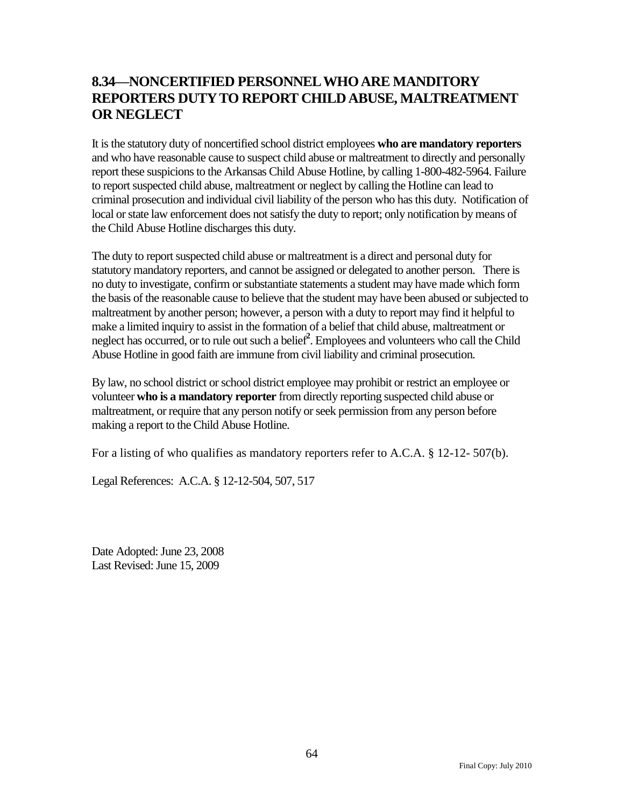### <span id="page-65-0"></span>**8.34—NONCERTIFIED PERSONNEL WHO ARE MANDITORY REPORTERS DUTY TO REPORT CHILD ABUSE, MALTREATMENT OR NEGLECT**

It is the statutory duty of noncertified school district employees **who are mandatory reporters** and who have reasonable cause to suspect child abuse or maltreatment to directly and personally report these suspicions to the Arkansas Child Abuse Hotline, by calling 1-800-482-5964. Failure to report suspected child abuse, maltreatment or neglect by calling the Hotline can lead to criminal prosecution and individual civil liability of the person who has this duty. Notification of local or state law enforcement does not satisfy the duty to report; only notification by means of the Child Abuse Hotline discharges this duty.

The duty to report suspected child abuse or maltreatment is a direct and personal duty for statutory mandatory reporters, and cannot be assigned or delegated to another person. There is no duty to investigate, confirm or substantiate statements a student may have made which form the basis of the reasonable cause to believe that the student may have been abused or subjected to maltreatment by another person; however, a person with a duty to report may find it helpful to make a limited inquiry to assist in the formation of a belief that child abuse, maltreatment or neglect has occurred, or to rule out such a belief**<sup>2</sup>** . Employees and volunteers who call the Child Abuse Hotline in good faith are immune from civil liability and criminal prosecution.

By law, no school district or school district employee may prohibit or restrict an employee or volunteer **who is a mandatory reporter** from directly reporting suspected child abuse or maltreatment, or require that any person notify or seek permission from any person before making a report to the Child Abuse Hotline.

For a listing of who qualifies as mandatory reporters refer to A.C.A. § 12-12- 507(b).

Legal References: A.C.A. § 12-12-504, 507, 517

Date Adopted: June 23, 2008 Last Revised: June 15, 2009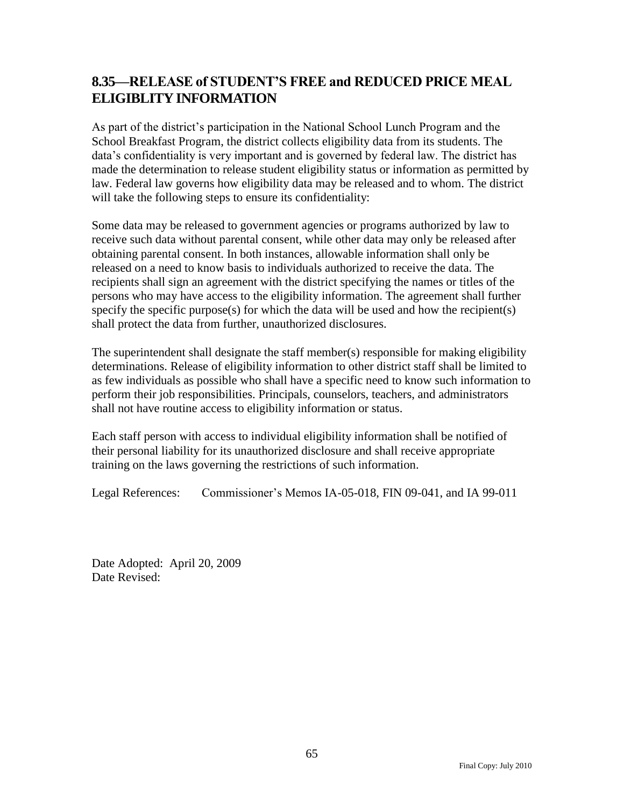### <span id="page-66-0"></span>**8.35—RELEASE of STUDENT'S FREE and REDUCED PRICE MEAL ELIGIBLITY INFORMATION**

As part of the district's participation in the National School Lunch Program and the School Breakfast Program, the district collects eligibility data from its students. The data's confidentiality is very important and is governed by federal law. The district has made the determination to release student eligibility status or information as permitted by law. Federal law governs how eligibility data may be released and to whom. The district will take the following steps to ensure its confidentiality:

Some data may be released to government agencies or programs authorized by law to receive such data without parental consent, while other data may only be released after obtaining parental consent. In both instances, allowable information shall only be released on a need to know basis to individuals authorized to receive the data. The recipients shall sign an agreement with the district specifying the names or titles of the persons who may have access to the eligibility information. The agreement shall further specify the specific purpose(s) for which the data will be used and how the recipient(s) shall protect the data from further, unauthorized disclosures.

The superintendent shall designate the staff member(s) responsible for making eligibility determinations. Release of eligibility information to other district staff shall be limited to as few individuals as possible who shall have a specific need to know such information to perform their job responsibilities. Principals, counselors, teachers, and administrators shall not have routine access to eligibility information or status.

Each staff person with access to individual eligibility information shall be notified of their personal liability for its unauthorized disclosure and shall receive appropriate training on the laws governing the restrictions of such information.

Legal References: Commissioner's Memos IA-05-018, FIN 09-041, and IA 99-011

Date Adopted: April 20, 2009 Date Revised: